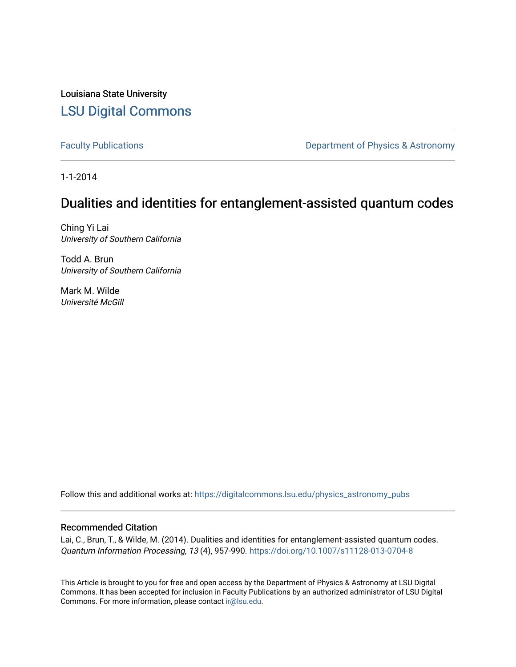Louisiana State University [LSU Digital Commons](https://digitalcommons.lsu.edu/)

[Faculty Publications](https://digitalcommons.lsu.edu/physics_astronomy_pubs) **Exercise 2 and Table 2 and Table 2 and Table 2 and Table 2 and Table 2 and Table 2 and Table 2 and Table 2 and Table 2 and Table 2 and Table 2 and Table 2 and Table 2 and Table 2 and Table 2 and Table** 

1-1-2014

# Dualities and identities for entanglement-assisted quantum codes

Ching Yi Lai University of Southern California

Todd A. Brun University of Southern California

Mark M. Wilde Université McGill

Follow this and additional works at: [https://digitalcommons.lsu.edu/physics\\_astronomy\\_pubs](https://digitalcommons.lsu.edu/physics_astronomy_pubs?utm_source=digitalcommons.lsu.edu%2Fphysics_astronomy_pubs%2F5709&utm_medium=PDF&utm_campaign=PDFCoverPages) 

# Recommended Citation

Lai, C., Brun, T., & Wilde, M. (2014). Dualities and identities for entanglement-assisted quantum codes. Quantum Information Processing, 13 (4), 957-990.<https://doi.org/10.1007/s11128-013-0704-8>

This Article is brought to you for free and open access by the Department of Physics & Astronomy at LSU Digital Commons. It has been accepted for inclusion in Faculty Publications by an authorized administrator of LSU Digital Commons. For more information, please contact [ir@lsu.edu](mailto:ir@lsu.edu).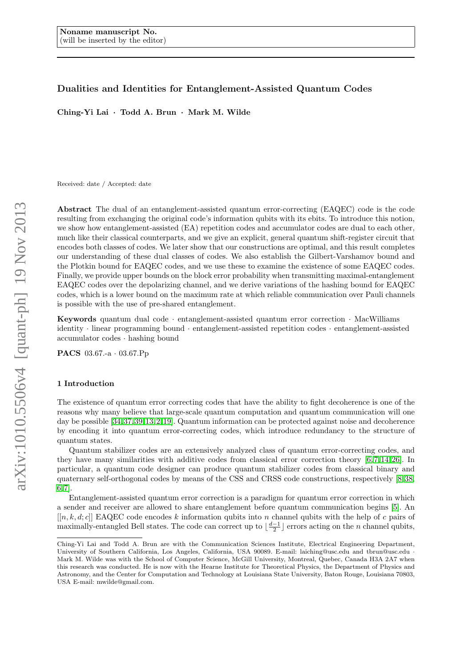# Dualities and Identities for Entanglement-Assisted Quantum Codes

Ching-Yi Lai · Todd A. Brun · Mark M. Wilde

Received: date / Accepted: date

Abstract The dual of an entanglement-assisted quantum error-correcting (EAQEC) code is the code resulting from exchanging the original code's information qubits with its ebits. To introduce this notion, we show how entanglement-assisted (EA) repetition codes and accumulator codes are dual to each other, much like their classical counterparts, and we give an explicit, general quantum shift-register circuit that encodes both classes of codes. We later show that our constructions are optimal, and this result completes our understanding of these dual classes of codes. We also establish the Gilbert-Varshamov bound and the Plotkin bound for EAQEC codes, and we use these to examine the existence of some EAQEC codes. Finally, we provide upper bounds on the block error probability when transmitting maximal-entanglement EAQEC codes over the depolarizing channel, and we derive variations of the hashing bound for EAQEC codes, which is a lower bound on the maximum rate at which reliable communication over Pauli channels is possible with the use of pre-shared entanglement.

Keywords quantum dual code · entanglement-assisted quantum error correction · MacWilliams identity · linear programming bound · entanglement-assisted repetition codes · entanglement-assisted accumulator codes · hashing bound

PACS 03.67.-a · 03.67.Pp

## 1 Introduction

The existence of quantum error correcting codes that have the ability to fight decoherence is one of the reasons why many believe that large-scale quantum computation and quantum communication will one day be possible [\[34,](#page-24-0) [37,](#page-24-1) [39,](#page-24-2) [13,](#page-24-3) [2,](#page-23-0) [19\]](#page-24-4). Quantum information can be protected against noise and decoherence by encoding it into quantum error-correcting codes, which introduce redundancy to the structure of quantum states.

Quantum stabilizer codes are an extensively analyzed class of quantum error-correcting codes, and they have many similarities with additive codes from classical error correction theory [\[6,](#page-23-1)7,14, [26\]](#page-24-6). In particular, a quantum code designer can produce quantum stabilizer codes from classical binary and quaternary self-orthogonal codes by means of the CSS and CRSS code constructions, respectively [\[8,](#page-23-3) [38,](#page-24-7) [6,](#page-23-1) [7\]](#page-23-2).

Entanglement-assisted quantum error correction is a paradigm for quantum error correction in which a sender and receiver are allowed to share entanglement before quantum communication begins [\[5\]](#page-23-4). An  $[[n, k, d; c]]$  EAQEC code encodes k information qubits into n channel qubits with the help of c pairs of maximally-entangled Bell states. The code can correct up to  $\lfloor \frac{d-1}{2} \rfloor$  errors acting on the n channel qubits,

Ching-Yi Lai and Todd A. Brun are with the Communication Sciences Institute, Electrical Engineering Department, University of Southern California, Los Angeles, California, USA 90089. E-mail: laiching@usc.edu and tbrun@usc.edu · Mark M. Wilde was with the School of Computer Science, McGill University, Montreal, Quebec, Canada H3A 2A7 when this research was conducted. He is now with the Hearne Institute for Theoretical Physics, the Department of Physics and Astronomy, and the Center for Computation and Technology at Louisiana State University, Baton Rouge, Louisiana 70803, USA E-mail: mwilde@gmail.com.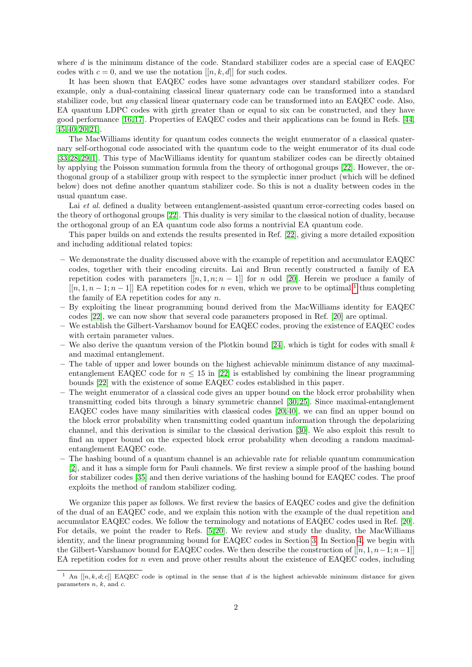where  $d$  is the minimum distance of the code. Standard stabilizer codes are a special case of EAQEC codes with  $c = 0$ , and we use the notation  $[[n, k, d]]$  for such codes.

It has been shown that EAQEC codes have some advantages over standard stabilizer codes. For example, only a dual-containing classical linear quaternary code can be transformed into a standard stabilizer code, but any classical linear quaternary code can be transformed into an EAQEC code. Also, EA quantum LDPC codes with girth greater than or equal to six can be constructed, and they have good performance [\[16,](#page-24-8) [17\]](#page-24-9). Properties of EAQEC codes and their applications can be found in Refs. [\[44,](#page-24-10) [45,](#page-24-11) [40,](#page-24-12) [20,](#page-24-13) [21\]](#page-24-14).

The MacWilliams identity for quantum codes connects the weight enumerator of a classical quaternary self-orthogonal code associated with the quantum code to the weight enumerator of its dual code [\[33,](#page-24-15) [28,](#page-24-16) [29,](#page-24-17) [1\]](#page-23-5). This type of MacWilliams identity for quantum stabilizer codes can be directly obtained by applying the Poisson summation formula from the theory of orthogonal groups [\[22\]](#page-24-18). However, the orthogonal group of a stabilizer group with respect to the symplectic inner product (which will be defined below) does not define another quantum stabilizer code. So this is not a duality between codes in the usual quantum case.

Lai et al. defined a duality between entanglement-assisted quantum error-correcting codes based on the theory of orthogonal groups [\[22\]](#page-24-18). This duality is very similar to the classical notion of duality, because the orthogonal group of an EA quantum code also forms a nontrivial EA quantum code.

This paper builds on and extends the results presented in Ref. [\[22\]](#page-24-18), giving a more detailed exposition and including additional related topics:

- We demonstrate the duality discussed above with the example of repetition and accumulator EAQEC codes, together with their encoding circuits. Lai and Brun recently constructed a family of EA repetition codes with parameters  $[[n, 1, n; n - 1]]$  for n odd [\[20\]](#page-24-13). Herein we produce a family of  $[[n, 1, n-1; n-1]]$  $[[n, 1, n-1; n-1]]$  $[[n, 1, n-1; n-1]]$  EA repetition codes for n even, which we prove to be optimal,<sup>1</sup> thus completing the family of EA repetition codes for any  $n$ .
- By exploiting the linear programming bound derived from the MacWilliams identity for EAQEC codes [\[22\]](#page-24-18), we can now show that several code parameters proposed in Ref. [\[20\]](#page-24-13) are optimal.
- We establish the Gilbert-Varshamov bound for EAQEC codes, proving the existence of EAQEC codes with certain parameter values.
- We also derive the quantum version of the Plotkin bound [\[24\]](#page-24-19), which is tight for codes with small  $k$ and maximal entanglement.
- The table of upper and lower bounds on the highest achievable minimum distance of any maximalentanglement EAQEC code for  $n \leq 15$  in [\[22\]](#page-24-18) is established by combining the linear programming bounds [\[22\]](#page-24-18) with the existence of some EAQEC codes established in this paper.
- The weight enumerator of a classical code gives an upper bound on the block error probability when transmitting coded bits through a binary symmetric channel [\[30,](#page-24-20) [25\]](#page-24-21). Since maximal-entanglement EAQEC codes have many similarities with classical codes [\[20,](#page-24-13) [40\]](#page-24-12), we can find an upper bound on the block error probability when transmitting coded quantum information through the depolarizing channel, and this derivation is similar to the classical derivation [\[30\]](#page-24-20). We also exploit this result to find an upper bound on the expected block error probability when decoding a random maximalentanglement EAQEC code.
- The hashing bound of a quantum channel is an achievable rate for reliable quantum communication [\[2\]](#page-23-0), and it has a simple form for Pauli channels. We first review a simple proof of the hashing bound for stabilizer codes [\[35\]](#page-24-22) and then derive variations of the hashing bound for EAQEC codes. The proof exploits the method of random stabilizer coding.

We organize this paper as follows. We first review the basics of EAQEC codes and give the definition of the dual of an EAQEC code, and we explain this notion with the example of the dual repetition and accumulator EAQEC codes. We follow the terminology and notations of EAQEC codes used in Ref. [\[20\]](#page-24-13). For details, we point the reader to Refs. [\[5,](#page-23-4) [20\]](#page-24-13). We review and study the duality, the MacWilliams identity, and the linear programming bound for EAQEC codes in Section [3.](#page-4-0) In Section [4,](#page-8-0) we begin with the Gilbert-Varshamov bound for EAQEC codes. We then describe the construction of  $[[n, 1, n-1; n-1]]$ EA repetition codes for n even and prove other results about the existence of EAQEC codes, including

<span id="page-2-0"></span><sup>&</sup>lt;sup>1</sup> An  $[[n, k, d; c]]$  EAQEC code is optimal in the sense that d is the highest achievable minimum distance for given parameters  $n, k$ , and  $c$ .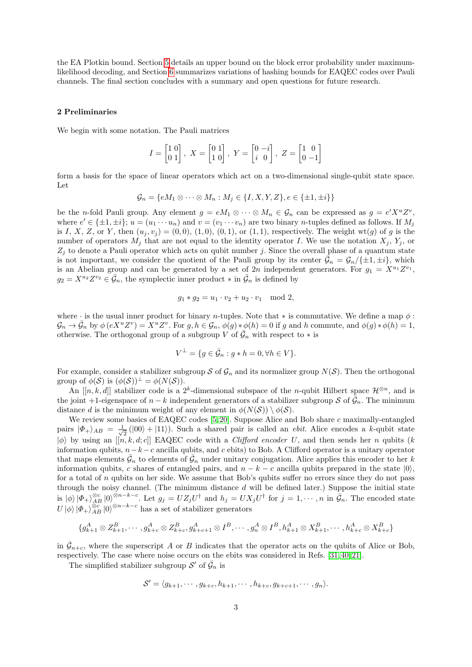the EA Plotkin bound. Section [5](#page-14-0) details an upper bound on the block error probability under maximumlikelihood decoding, and Section [6](#page-18-0) summarizes variations of hashing bounds for EAQEC codes over Pauli channels. The final section concludes with a summary and open questions for future research.

# 2 Preliminaries

We begin with some notation. The Pauli matrices

$$
I = \begin{bmatrix} 1 & 0 \\ 0 & 1 \end{bmatrix}, X = \begin{bmatrix} 0 & 1 \\ 1 & 0 \end{bmatrix}, Y = \begin{bmatrix} 0 & -i \\ i & 0 \end{bmatrix}, Z = \begin{bmatrix} 1 & 0 \\ 0 & -1 \end{bmatrix}
$$

form a basis for the space of linear operators which act on a two-dimensional single-qubit state space. Let

$$
\mathcal{G}_n = \{eM_1 \otimes \cdots \otimes M_n : M_j \in \{I, X, Y, Z\}, e \in \{\pm 1, \pm i\}\}
$$

be the *n*-fold Pauli group. Any element  $g = eM_1 \otimes \cdots \otimes M_n \in \mathcal{G}_n$  can be expressed as  $g = e'X^u Z^v$ , where  $e' \in {\pm 1, \pm i}$ ;  $u = (u_1 \cdots u_n)$  and  $v = (v_1 \cdots v_n)$  are two binary *n*-tuples defined as follows. If  $M_j$ is I, X, Z, or Y, then  $(u_i, v_j) = (0, 0), (1, 0), (0, 1),$  or  $(1, 1)$ , respectively. The weight wt $(g)$  of g is the number of operators  $M_j$  that are not equal to the identity operator I. We use the notation  $X_j$ ,  $Y_j$ , or  $Z_j$  to denote a Pauli operator which acts on qubit number j. Since the overall phase of a quantum state is not important, we consider the quotient of the Pauli group by its center  $\bar{\mathcal{G}}_n = \mathcal{G}_n/\{\pm 1, \pm i\}$ , which is an Abelian group and can be generated by a set of 2n independent generators. For  $g_1 = X^{u_1}Z^{v_1}$ ,  $g_2 = X^{u_2} Z^{v_2} \in \bar{\mathcal{G}}_n$ , the symplectic inner product  $*$  in  $\bar{\mathcal{G}}_n$  is defined by

$$
g_1 * g_2 = u_1 \cdot v_2 + u_2 \cdot v_1 \mod 2,
$$

where  $\cdot$  is the usual inner product for binary *n*-tuples. Note that  $*$  is commutative. We define a map  $\phi$ :  $\mathcal{G}_n \to \bar{\mathcal{G}}_n$  by  $\phi\left(eX^u Z^v\right) = X^u Z^v$ . For  $g, h \in \mathcal{G}_n$ ,  $\phi(g) * \phi(h) = 0$  if g and h commute, and  $\phi(g) * \phi(h) = 1$ , otherwise. The orthogonal group of a subgroup V of  $\mathcal{G}_n$  with respect to  $*$  is

$$
V^{\perp} = \{ g \in \bar{\mathcal{G}}_n : g * h = 0, \forall h \in V \}.
$$

For example, consider a stabilizer subgroup S of  $\mathcal{G}_n$  and its normalizer group  $N(\mathcal{S})$ . Then the orthogonal group of  $\phi(S)$  is  $(\phi(S))^{\perp} = \phi(N(S)).$ 

An  $[[n, k, d]]$  stabilizer code is a 2<sup>k</sup>-dimensional subspace of the *n*-qubit Hilbert space  $\mathcal{H}^{\otimes n}$ , and is the joint +1-eigenspace of  $n - k$  independent generators of a stabilizer subgroup S of  $\bar{G}_n$ . The minimum distance d is the minimum weight of any element in  $\phi(N(S)) \setminus \phi(S)$ .

We review some basics of EAQEC codes [\[5,](#page-23-4)20]. Suppose Alice and Bob share c maximally-entangled pairs  $|\Phi_+\rangle_{AB} = \frac{1}{\sqrt{2}}$  $\frac{1}{2}$  ( $|00\rangle + |11\rangle$ ). Such a shared pair is called an *ebit*. Alice encodes a *k*-qubit state  $|\phi\rangle$  by using an  $\tilde{[[n, k, d, c]]}$  EAQEC code with a *Clifford encoder U*, and then sends her *n* qubits (k information qubits,  $n-k-c$  ancilla qubits, and c ebits) to Bob. A Clifford operator is a unitary operator that maps elements  $\bar{\mathcal{G}}_n$  to elements of  $\bar{\mathcal{G}}_n$  under unitary conjugation. Alice applies this encoder to her k information qubits, c shares of entangled pairs, and  $n - k - c$  ancilla qubits prepared in the state  $|0\rangle$ , for a total of n qubits on her side. We assume that Bob's qubits suffer no errors since they do not pass through the noisy channel. (The minimum distance  $d$  will be defined later.) Suppose the initial state is  $|\phi\rangle |\Phi_+\rangle_{AB}^{\otimes c} |0\rangle^{\otimes n-k-c}$ . Let  $g_j = UZ_jU^{\dagger}$  and  $h_j = UX_jU^{\dagger}$  for  $j = 1, \dots, n$  in  $\bar{\mathcal{G}}_n$ . The encoded state  $U\ket{\phi}\ket{\Phi_+\}_{AB}^{\otimes c}\ket{0}^{\otimes n-k-c}$  has a set of stabilizer generators

$$
\{g_{k+1}^A \otimes Z_{k+1}^B, \cdots, g_{k+c}^A \otimes Z_{k+c}^B, g_{k+c+1}^A \otimes I^B, \cdots, g_n^A \otimes I^B, h_{k+1}^A \otimes X_{k+1}^B, \cdots, h_{k+c}^A \otimes X_{k+c}^B\}
$$

in  $\bar{\mathcal{G}}_{n+c}$ , where the superscript A or B indicates that the operator acts on the qubits of Alice or Bob, respectively. The case where noise occurs on the ebits was considered in Refs. [\[31,](#page-24-23) [40,](#page-24-12) [21\]](#page-24-14).

The simplified stabilizer subgroup  $\mathcal{S}'$  of  $\bar{\mathcal{G}}_n$  is

$$
\mathcal{S}'=\langle g_{k+1},\cdots,g_{k+c},h_{k+1},\cdots,h_{k+c},g_{k+c+1},\cdots,g_n\rangle.
$$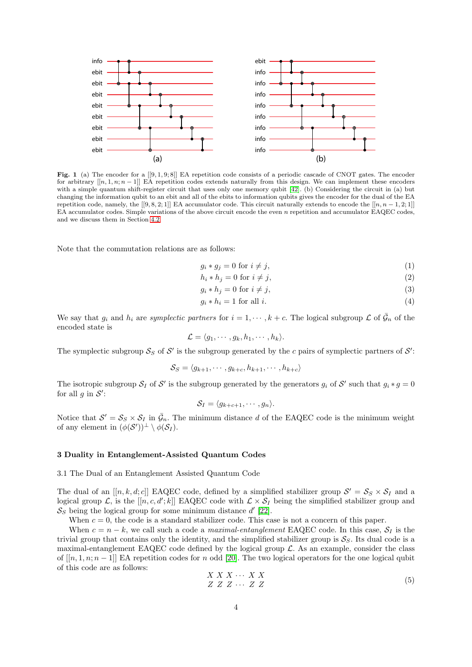

<span id="page-4-1"></span>Fig. 1 (a) The encoder for a  $[[9,1,9,8]]$  EA repetition code consists of a periodic cascade of CNOT gates. The encoder for arbitrary  $[[n, 1, n; n-1]]$  EA repetition codes extends naturally from this design. We can implement these encoders with a simple quantum shift-register circuit that uses only one memory qubit [\[42\]](#page-24-24). (b) Considering the circuit in (a) but changing the information qubit to an ebit and all of the ebits to information qubits gives the encoder for the dual of the EA repetition code, namely, the  $[[9, 8, 2, 1]]$  EA accumulator code. This circuit naturally extends to encode the  $[[n, n-1, 2, 1]]$ EA accumulator codes. Simple variations of the above circuit encode the even n repetition and accumulator EAQEC codes, and we discuss them in Section [4.2.](#page-8-1)

Note that the commutation relations are as follows:

$$
g_i * g_j = 0 \text{ for } i \neq j,
$$
\n<sup>(1)</sup>

$$
h_i * h_j = 0 \text{ for } i \neq j,
$$
\n<sup>(2)</sup>

$$
g_i * h_j = 0 \text{ for } i \neq j,
$$
\n<sup>(3)</sup>

$$
g_i * h_i = 1 \text{ for all } i. \tag{4}
$$

We say that  $g_i$  and  $h_i$  are symplectic partners for  $i = 1, \dots, k + c$ . The logical subgroup  $\mathcal L$  of  $\bar{\mathcal G}_n$  of the encoded state is

$$
\mathcal{L} = \langle g_1, \cdots, g_k, h_1, \cdots, h_k \rangle.
$$

The symplectic subgroup  $S_S$  of S' is the subgroup generated by the c pairs of symplectic partners of S':

$$
\mathcal{S}_S = \langle g_{k+1}, \cdots, g_{k+c}, h_{k+1}, \cdots, h_{k+c} \rangle
$$

The isotropic subgroup  $S_I$  of S' is the subgroup generated by the generators  $g_i$  of S' such that  $g_i * g = 0$ for all  $g$  in  $S'$ :

$$
\mathcal{S}_I = \langle g_{k+c+1}, \cdots, g_n \rangle.
$$

Notice that  $S' = S_S \times S_I$  in  $\bar{G}_n$ . The minimum distance d of the EAQEC code is the minimum weight of any element in  $(\phi(S'))^{\perp} \setminus \phi(S_I)$ .

# <span id="page-4-0"></span>3 Duality in Entanglement-Assisted Quantum Codes

3.1 The Dual of an Entanglement Assisted Quantum Code

The dual of an  $[[n, k, d; c]]$  EAQEC code, defined by a simplified stabilizer group  $S' = S_S \times S_I$  and a logical group L, is the  $[[n, c, d';k]]$  EAQEC code with  $\mathcal{L} \times \mathcal{S}_I$  being the simplified stabilizer group and  $S_S$  being the logical group for some minimum distance  $d'$  [\[22\]](#page-24-18).

When  $c = 0$ , the code is a standard stabilizer code. This case is not a concern of this paper.

When  $c = n - k$ , we call such a code a maximal-entanglement EAQEC code. In this case,  $S<sub>I</sub>$  is the trivial group that contains only the identity, and the simplified stabilizer group is  $S<sub>S</sub>$ . Its dual code is a maximal-entanglement EAQEC code defined by the logical group  $\mathcal{L}$ . As an example, consider the class of  $[[n, 1, n; n-1]]$  EA repetition codes for n odd [\[20\]](#page-24-13). The two logical operators for the one logical qubit of this code are as follows:

<span id="page-4-2"></span>
$$
\begin{array}{c}\nX \ X \ X \ \cdots \ X \ X \\
Z \ Z \ Z \ \cdots \ Z \ Z\n\end{array} \tag{5}
$$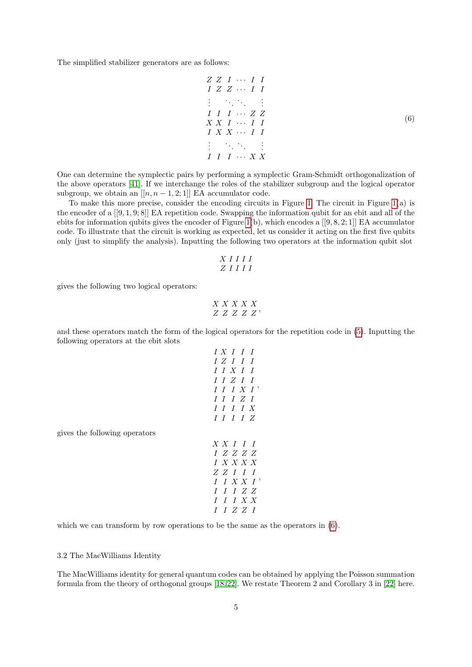The simplified stabilizer generators are as follows:

<span id="page-5-0"></span>
$$
Z Z I \cdots I I
$$
  
\n
$$
I Z Z \cdots I I
$$
  
\n
$$
\vdots \qquad \vdots \qquad \vdots
$$
  
\n
$$
I I I \cdots Z Z
$$
  
\n
$$
X X I \cdots I I
$$
  
\n
$$
I X X \cdots I I
$$
  
\n
$$
\vdots \qquad \vdots \qquad \vdots
$$
  
\n
$$
I I I \cdots X X
$$
  
\n(6)

One can determine the symplectic pairs by performing a symplectic Gram-Schmidt orthogonalization of the above operators [\[41\]](#page-24-25). If we interchange the roles of the stabilizer subgroup and the logical operator subgroup, we obtain an  $[[n, n-1, 2; 1]]$  EA accumulator code.

To make this more precise, consider the encoding circuits in Figure [1.](#page-4-1) The circuit in Figure  $1(a)$  is the encoder of a  $[[9, 1, 9; 8]]$  EA repetition code. Swapping the information qubit for an ebit and all of the ebits for information qubits gives the encoder of Figure [1\(](#page-4-1)b), which encodes a [[9, 8, 2; 1]] EA accumulator code. To illustrate that the circuit is working as expected, let us consider it acting on the first five qubits only (just to simplify the analysis). Inputting the following two operators at the information qubit slot

$$
\begin{array}{c}\nX \, I \, I \, I \, I \\
Z \, I \, I \, I \, I\n\end{array}
$$

gives the following two logical operators:

$$
\begin{array}{c}\nX \; X \; X \; X \; X \\
Z \; Z \; Z \; Z \; Z \end{array}
$$

and these operators match the form of the logical operators for the repetition code in [\(5\)](#page-4-2). Inputting the following operators at the ebit slots

$$
\begin{array}{c|cc} IX & I & I & I \\ I & Z & I & I & I \\ \hline I & I & X & I & I \\ \hline I & I & Z & I & I \\ \hline I & I & I & Z & I \\ \hline I & I & I & I & Z \\ \end{array}
$$
\n
$$
\begin{array}{c|cc} X & X & I & I & I \\ X & I & I & I & Z \\ \end{array}
$$
\n
$$
\begin{array}{c|cc} X & X & I & I & I \\ \hline Z & Z & Z & Z \\ \end{array}
$$
\n
$$
\begin{array}{c|cc} X & X & X & X & I \\ \hline I & I & X & X & I \\ \end{array}
$$

which we can transform by row operations to be the same as the operators in  $(6)$ .

3.2 The MacWilliams Identity

gives the following operators

The MacWilliams identity for general quantum codes can be obtained by applying the Poisson summation formula from the theory of orthogonal groups [\[18,](#page-24-26) [22\]](#page-24-18). We restate Theorem 2 and Corollary 3 in [\[22\]](#page-24-18) here.

 $I$   $I$   $Z$   $Z$   $I$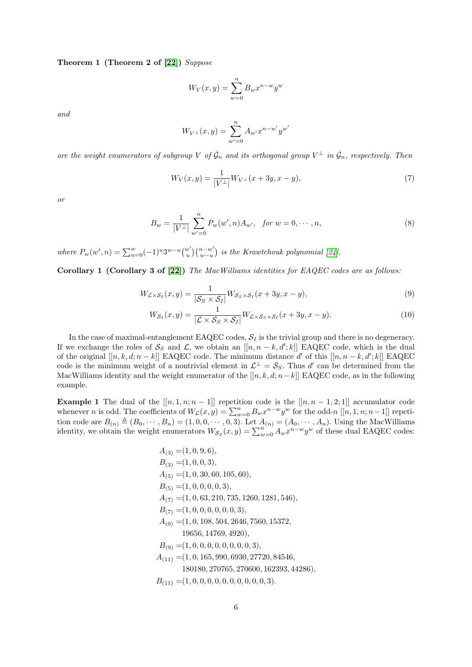Theorem 1 (Theorem 2 of [\[22\]](#page-24-18)) Suppose

$$
W_V(x,y) = \sum_{w=0}^{n} B_w x^{n-w} y^w
$$

and

$$
W_{V^{\perp}}(x,y) = \sum_{w'=0}^{n} A_{w'} x^{n-w'} y^{w'}
$$

are the weight enumerators of subgroup V of  $\bar{G}_n$  and its orthogonal group  $V^{\perp}$  in  $\bar{G}_n$ , respectively. Then

$$
W_V(x,y) = \frac{1}{|V^\perp|} W_{V^\perp}(x+3y,x-y),\tag{7}
$$

or

$$
B_w = \frac{1}{|V^\perp|} \sum_{w'=0}^n P_w(w', n) A_{w'}, \quad \text{for } w = 0, \cdots, n,
$$
\n(8)

where  $P_w(w', n) = \sum_{u=0}^{w} (-1)^u 3^{w-u} {w' \choose u}$  $\binom{w'}{u}\binom{n-w'}{w-u}$  $\binom{n-w}{w-u}$  is the Krawtchouk polynomial [\[24\]](#page-24-19).

<span id="page-6-2"></span>Corollary 1 (Corollary 3 of [\[22\]](#page-24-18)) The MacWilliams identities for EAQEC codes are as follows:

$$
W_{\mathcal{L}\times\mathcal{S}_I}(x,y) = \frac{1}{|\mathcal{S}_S \times \mathcal{S}_I|} W_{\mathcal{S}_S \times \mathcal{S}_I}(x+3y,x-y),\tag{9}
$$

<span id="page-6-1"></span><span id="page-6-0"></span>
$$
W_{\mathcal{S}_I}(x,y) = \frac{1}{|\mathcal{L} \times \mathcal{S}_S \times \mathcal{S}_I|} W_{\mathcal{L} \times \mathcal{S}_S \times \mathcal{S}_I}(x+3y,x-y). \tag{10}
$$

In the case of maximal-entanglement EAQEC codes,  $S_I$  is the trivial group and there is no degeneracy. If we exchange the roles of  $S_S$  and  $\mathcal{L}$ , we obtain an  $[[n, n - k, d';k]]$  EAQEC code, which is the dual of the original  $[[n, k, d; n - k]]$  EAQEC code. The minimum distance d' of this  $[[n, n - k, d'; k]]$  EAQEC code is the minimum weight of a nontrivial element in  $\mathcal{L}^{\perp} = \mathcal{S}_S$ . Thus d' can be determined from the MacWilliams identity and the weight enumerator of the  $[[n, k, d; n-k]]$  EAQEC code, as in the following example.

**Example 1** The dual of the  $[[n, 1, n; n-1]]$  repetition code is the  $[[n, n-1, 2; 1]]$  accumulator code whenever n is odd. The coefficients of  $W_c(x, y) = \sum_{w=0}^n B_w x^{n-w} y^w$  for the odd-n  $[[n, 1, n; n-1]]$  repetition code are  $B_{(n)} \triangleq (B_0, \dots, B_n) = (1, 0, 0, \dots, 0, 3)$ . Let  $A_{(n)} = (A_0, \dots, A_n)$ . Using the MacWilliams identity, we obtain the weight enumerators  $W_{\mathcal{S}_{S}}(x,y) = \sum_{w=0}^{n} A_w x^{n-w} y^w$  of these dual EAQEC codes:

$$
A_{(3)} = (1, 0, 9, 6),
$$
  
\n
$$
B_{(3)} = (1, 0, 0, 3),
$$
  
\n
$$
A_{(5)} = (1, 0, 30, 60, 105, 60),
$$
  
\n
$$
B_{(5)} = (1, 0, 0, 0, 0, 3),
$$
  
\n
$$
A_{(7)} = (1, 0, 63, 210, 735, 1260, 1281, 546),
$$
  
\n
$$
B_{(7)} = (1, 0, 0, 0, 0, 0, 0, 3),
$$
  
\n
$$
A_{(9)} = (1, 0, 108, 504, 2646, 7560, 15372,
$$
  
\n
$$
19656, 14769, 4920),
$$
  
\n
$$
B_{(9)} = (1, 0, 0, 0, 0, 0, 0, 0, 3),
$$
  
\n
$$
A_{(11)} = (1, 0, 165, 990, 6930, 27720, 84546,
$$
  
\n
$$
180180, 270765, 270600, 162393, 44286),
$$
  
\n
$$
B_{(11)} = (1, 0, 0, 0, 0, 0, 0, 0, 0, 0, 0, 3).
$$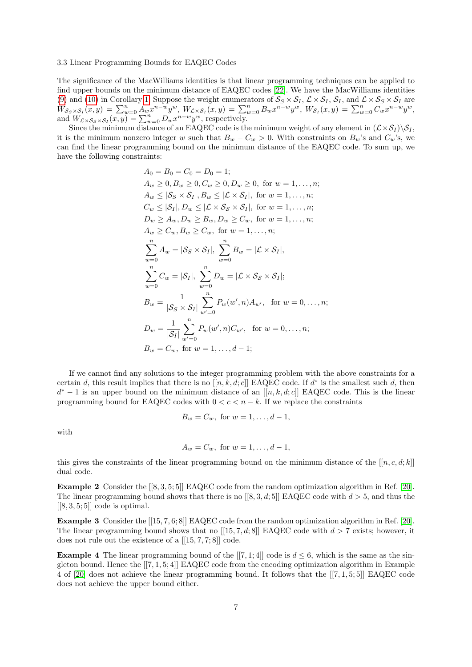## 3.3 Linear Programming Bounds for EAQEC Codes

The significance of the MacWilliams identities is that linear programming techniques can be applied to find upper bounds on the minimum distance of EAQEC codes [\[22\]](#page-24-18). We have the MacWilliams identities [\(9\)](#page-6-0) and [\(10\)](#page-6-1) in Corollary [1.](#page-6-2) Suppose the weight enumerators of  $S_S \times S_I$ ,  $\mathcal{L} \times S_I$ ,  $S_I$ , and  $\mathcal{L} \times S_S \times S_I$  are  $W_{\mathcal{S}_S \times \mathcal{S}_I}(x,y) \, = \, \sum_{w=0}^n A_w x^{n-w} y^w, \, W_{\mathcal{L} \times \mathcal{S}_I}(x,y) \, = \, \sum_{w=0}^n B_w x^{n-w} y^w, \, W_{\mathcal{S}_I}(x,y) \, = \, \sum_{w=0}^n C_w x^{n-w} y^w,$ and  $W_{\mathcal{L}\times\mathcal{S}_S\times\mathcal{S}_I}(x,y) = \sum_{w=0}^n D_w x^{n-w} y^w$ , respectively.

Since the minimum distance of an EAQEC code is the minimum weight of any element in  $(\mathcal{L} \times \mathcal{S}_I) \backslash \mathcal{S}_I$ , it is the minimum nonzero integer w such that  $B_w - C_w > 0$ . With constraints on  $B_w$ 's and  $C_w$ 's, we can find the linear programming bound on the minimum distance of the EAQEC code. To sum up, we have the following constraints:

$$
A_0 = B_0 = C_0 = D_0 = 1;
$$
  
\n
$$
A_w \ge 0, B_w \ge 0, C_w \ge 0, D_w \ge 0, \text{ for } w = 1, ..., n;
$$
  
\n
$$
A_w \le |S_S \times S_I|, B_w \le |{\mathcal{L}} \times S_I|, \text{ for } w = 1, ..., n;
$$
  
\n
$$
C_w \le |S_I|, D_w \le |{\mathcal{L}} \times S_S \times S_I|, \text{ for } w = 1, ..., n;
$$
  
\n
$$
D_w \ge A_w, D_w \ge B_w, D_w \ge C_w, \text{ for } w = 1, ..., n;
$$
  
\n
$$
A_w \ge C_w, B_w \ge C_w, \text{ for } w = 1, ..., n;
$$
  
\n
$$
\sum_{w=0}^{n} A_w = |S_S \times S_I|, \sum_{w=0}^{n} B_w = |{\mathcal{L}} \times S_I|,
$$
  
\n
$$
\sum_{w=0}^{n} C_w = |S_I|, \sum_{w=0}^{n} D_w = |{\mathcal{L}} \times S_S \times S_I|;
$$
  
\n
$$
B_w = \frac{1}{|S_S \times S_I|} \sum_{w'=0}^{n} P_w(w', n) A_{w'}, \text{ for } w = 0, ..., n;
$$
  
\n
$$
D_w = \frac{1}{|S_I|} \sum_{w'=0}^{n} P_w(w', n) C_{w'}, \text{ for } w = 0, ..., n;
$$
  
\n
$$
B_w = C_w, \text{ for } w = 1, ..., d-1;
$$

If we cannot find any solutions to the integer programming problem with the above constraints for a certain d, this result implies that there is no  $[[n, k, d; c]]$  EAQEC code. If  $d^*$  is the smallest such d, then  $d^* - 1$  is an upper bound on the minimum distance of an  $[[n, k, d; c]]$  EAQEC code. This is the linear programming bound for EAQEC codes with  $0 < c < n - k$ . If we replace the constraints

$$
B_w = C_w
$$
, for  $w = 1, ..., d - 1$ ,

with

$$
A_w = C_w
$$
, for  $w = 1, ..., d - 1$ ,

this gives the constraints of the linear programming bound on the minimum distance of the  $[[n, c, d; k]]$ dual code.

Example 2 Consider the [[8, 3, 5; 5]] EAQEC code from the random optimization algorithm in Ref. [\[20\]](#page-24-13). The linear programming bound shows that there is no  $[[8,3,d,5]]$  EAQEC code with  $d > 5$ , and thus the  $[[8, 3, 5; 5]]$  code is optimal.

Example 3 Consider the [[15, 7, 6; 8]] EAQEC code from the random optimization algorithm in Ref. [\[20\]](#page-24-13). The linear programming bound shows that no  $[[15, 7, d; 8]]$  EAQEC code with  $d > 7$  exists; however, it does not rule out the existence of a [[15, 7, 7; 8]] code.

**Example 4** The linear programming bound of the  $[[7, 1; 4]]$  code is  $d \leq 6$ , which is the same as the singleton bound. Hence the [[7, 1, 5; 4]] EAQEC code from the encoding optimization algorithm in Example 4 of [\[20\]](#page-24-13) does not achieve the linear programming bound. It follows that the [[7, 1, 5; 5]] EAQEC code does not achieve the upper bound either.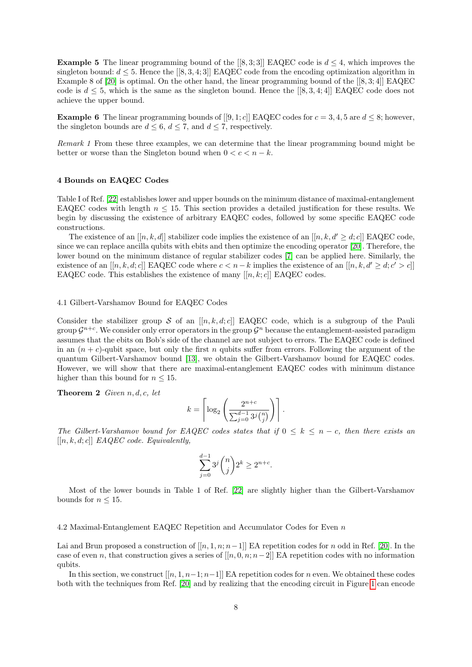**Example 5** The linear programming bound of the  $[8, 3; 3]$  EAQEC code is  $d \leq 4$ , which improves the singleton bound:  $d \leq 5$ . Hence the [[8, 3, 4; 3]] EAQEC code from the encoding optimization algorithm in Example 8 of [\[20\]](#page-24-13) is optimal. On the other hand, the linear programming bound of the [[8, 3; 4]] EAQEC code is  $d \leq 5$ , which is the same as the singleton bound. Hence the [[8, 3, 4; 4]] EAQEC code does not achieve the upper bound.

**Example 6** The linear programming bounds of  $[[9,1;c]]$  EAQEC codes for  $c = 3, 4, 5$  are  $d \leq 8$ ; however, the singleton bounds are  $d \leq 6$ ,  $d \leq 7$ , and  $d \leq 7$ , respectively.

Remark 1 From these three examples, we can determine that the linear programming bound might be better or worse than the Singleton bound when  $0 < c < n - k$ .

# <span id="page-8-0"></span>4 Bounds on EAQEC Codes

Table I of Ref. [\[22\]](#page-24-18) establishes lower and upper bounds on the minimum distance of maximal-entanglement EAQEC codes with length  $n \leq 15$ . This section provides a detailed justification for these results. We begin by discussing the existence of arbitrary EAQEC codes, followed by some specific EAQEC code constructions.

The existence of an  $[[n, k, d]]$  stabilizer code implies the existence of an  $[[n, k, d' \geq d; c]]$  EAQEC code, since we can replace ancilla qubits with ebits and then optimize the encoding operator [\[20\]](#page-24-13). Therefore, the lower bound on the minimum distance of regular stabilizer codes [\[7\]](#page-23-2) can be applied here. Similarly, the existence of an  $[[n, k, d; c]]$  EAQEC code where  $c < n - k$  implies the existence of an  $[[n, k, d' \geq d; c' > c]]$ EAQEC code. This establishes the existence of many  $[[n, k; c]]$  EAQEC codes.

# 4.1 Gilbert-Varshamov Bound for EAQEC Codes

Consider the stabilizer group  $S$  of an  $[[n, k, d; c]]$  EAQEC code, which is a subgroup of the Pauli group  $\mathcal{G}^{n+c}$ . We consider only error operators in the group  $\mathcal{G}^n$  because the entanglement-assisted paradigm assumes that the ebits on Bob's side of the channel are not subject to errors. The EAQEC code is defined in an  $(n + c)$ -qubit space, but only the first n qubits suffer from errors. Following the argument of the quantum Gilbert-Varshamov bound [\[13\]](#page-24-3), we obtain the Gilbert-Varshamov bound for EAQEC codes. However, we will show that there are maximal-entanglement EAQEC codes with minimum distance higher than this bound for  $n \leq 15$ .

**Theorem 2** Given  $n, d, c, let$ 

$$
k = \left\lceil \log_2 \left( \frac{2^{n+c}}{\sum_{j=0}^{d-1} 3^j {n \choose j}} \right) \right\rceil.
$$

The Gilbert-Varshamov bound for EAQEC codes states that if  $0 \leq k \leq n - c$ , then there exists an  $[[n, k, d; c]]$  EAQEC code. Equivalently,

$$
\sum_{j=0}^{d-1} 3^j \binom{n}{j} 2^k \ge 2^{n+c}.
$$

Most of the lower bounds in Table 1 of Ref. [\[22\]](#page-24-18) are slightly higher than the Gilbert-Varshamov bounds for  $n \leq 15$ .

<span id="page-8-1"></span>4.2 Maximal-Entanglement EAQEC Repetition and Accumulator Codes for Even n

Lai and Brun proposed a construction of  $[[n, 1, n; n-1]]$  EA repetition codes for n odd in Ref. [\[20\]](#page-24-13). In the case of even n, that construction gives a series of  $[[n, 0, n; n-2]]$  EA repetition codes with no information qubits.

In this section, we construct  $[[n, 1, n-1; n-1]]$  EA repetition codes for n even. We obtained these codes both with the techniques from Ref. [\[20\]](#page-24-13) and by realizing that the encoding circuit in Figure [1](#page-4-1) can encode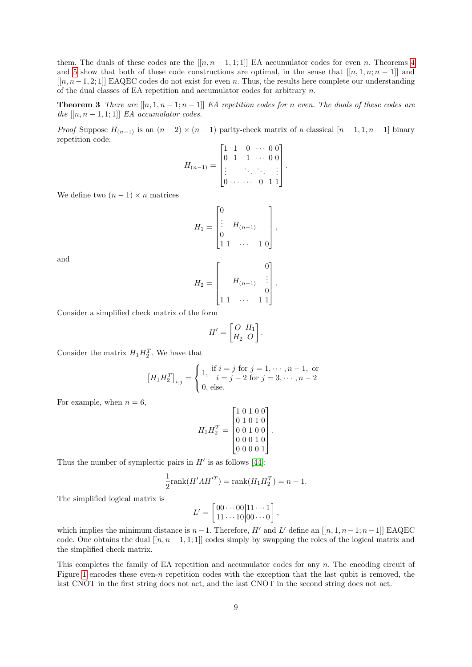them. The duals of these codes are the  $[[n, n-1, 1, 1]]$  EA accumulator codes for even n. Theorems [4](#page-10-0) and [5](#page-11-0) show that both of these code constructions are optimal, in the sense that  $[[n, 1, n; n-1]]$  and [[n, n−1, 2; 1]] EAQEC codes do not exist for even n. Thus, the results here complete our understanding of the dual classes of EA repetition and accumulator codes for arbitrary  $n$ .

**Theorem 3** There are  $[[n, 1, n-1; n-1]]$  EA repetition codes for n even. The duals of these codes are the  $[[n, n-1, 1; 1]]$  EA accumulator codes.

*Proof* Suppose  $H_{(n-1)}$  is an  $(n-2) \times (n-1)$  parity-check matrix of a classical  $[n-1,1,n-1]$  binary repetition code:

<span id="page-9-0"></span>
$$
H_{(n-1)} = \begin{bmatrix} 1 & 1 & 0 & \cdots & 0 & 0 \\ 0 & 1 & 1 & \cdots & 0 & 0 \\ \vdots & & \ddots & \ddots & & \vdots \\ 0 & \cdots & \cdots & 0 & 1 & 1 \end{bmatrix}.
$$

We define two  $(n-1) \times n$  matrices

$$
H_1 = \begin{bmatrix} 0 \\ \vdots \\ 0 \\ 1 & 1 \end{bmatrix} H_{(n-1)} \begin{bmatrix} 0 \\ \vdots \\ 0 \end{bmatrix},
$$

and

$$
H_2 = \begin{bmatrix} & & 0 \\ & H_{(n-1)} & \vdots \\ 1 & 1 & \cdots & 1 & 1 \end{bmatrix}.
$$

Consider a simplified check matrix of the form

$$
H' = \begin{bmatrix} O & H_1 \\ H_2 & O \end{bmatrix}.
$$

Consider the matrix  $H_1 H_2^T$ . We have that

$$
\left[H_1 H_2^T\right]_{i,j} = \begin{cases} 1, & \text{if } i = j \text{ for } j = 1, \cdots, n-1, \text{ or} \\ 0, & \text{else.} \end{cases}
$$

For example, when  $n = 6$ ,

$$
H_1 H_2^T = \begin{bmatrix} 1 & 0 & 1 & 0 & 0 \\ 0 & 1 & 0 & 1 & 0 \\ 0 & 0 & 1 & 0 & 0 \\ 0 & 0 & 0 & 1 & 0 \\ 0 & 0 & 0 & 0 & 1 \end{bmatrix}.
$$

Thus the number of symplectic pairs in  $H'$  is as follows [\[44\]](#page-24-10):

$$
\frac{1}{2}\text{rank}(H'AH'^T) = \text{rank}(H_1H_2^T) = n - 1.
$$

The simplified logical matrix is

$$
L' = \begin{bmatrix} 00 \cdots 00 & 11 \cdots 1 \\ 11 \cdots 10 & 00 \cdots 0 \end{bmatrix},
$$

which implies the minimum distance is  $n-1$ . Therefore, H' and L' define an [[n, 1, n -1; n -1]] EAQEC code. One obtains the dual  $[[n, n-1, 1; 1]]$  codes simply by swapping the roles of the logical matrix and the simplified check matrix.

This completes the family of EA repetition and accumulator codes for any n. The encoding circuit of Figure [1](#page-4-1) encodes these even-n repetition codes with the exception that the last qubit is removed, the last CNOT in the first string does not act, and the last CNOT in the second string does not act.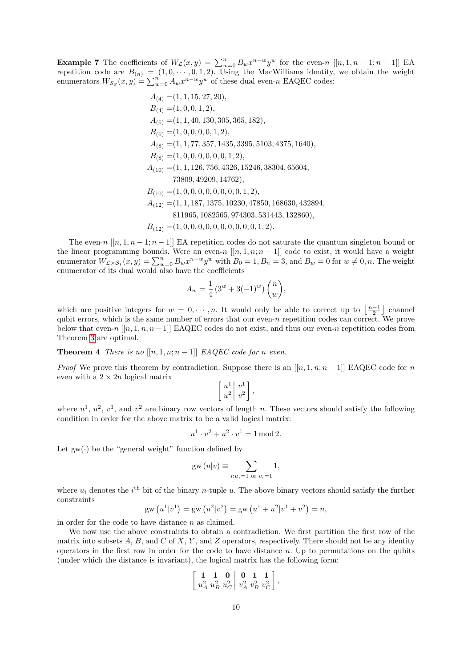**Example 7** The coefficients of  $W_c(x,y) = \sum_{w=0}^n B_w x^{n-w} y^w$  for the even-n  $[[n,1,n-1;n-1]]$  EA repetition code are  $B_{(n)} = (1, 0, \dots, 0, 1, 2)$ . Using the MacWilliams identity, we obtain the weight enumerators  $W_{\mathcal{S}_S}(x, y) = \sum_{w=0}^n A_w x^{n-w} y^w$  of these dual even-n EAQEC codes:

$$
A_{(4)} = (1, 1, 15, 27, 20),
$$
  
\n
$$
B_{(4)} = (1, 0, 0, 1, 2),
$$
  
\n
$$
A_{(6)} = (1, 1, 40, 130, 305, 365, 182),
$$
  
\n
$$
B_{(6)} = (1, 0, 0, 0, 0, 1, 2),
$$
  
\n
$$
A_{(8)} = (1, 1, 77, 357, 1435, 3395, 5103, 4375, 1640),
$$
  
\n
$$
B_{(8)} = (1, 0, 0, 0, 0, 0, 1, 2),
$$
  
\n
$$
A_{(10)} = (1, 1, 126, 756, 4326, 15246, 38304, 65604,
$$
  
\n73809, 49209, 14762),  
\n
$$
B_{(10)} = (1, 0, 0, 0, 0, 0, 0, 0, 1, 2),
$$
  
\n
$$
A_{(12)} = (1, 1, 187, 1375, 10230, 47850, 168630, 432894,
$$
  
\n811965, 1082565, 974303, 531443, 132860),

 $B_{(12)} = (1, 0, 0, 0, 0, 0, 0, 0, 0, 0, 0, 1, 2).$ 

The even-n  $[[n, 1, n-1; n-1]]$  EA repetition codes do not saturate the quantum singleton bound or the linear programming bounds. Were an even-n  $[[n, 1, n; n-1]]$  code to exist, it would have a weight enumerator  $W_{\mathcal{L}\times\mathcal{S}_I}(x,y) = \sum_{w=0}^n B_w x^{n-w} y^w$  with  $B_0 = 1, B_n = 3$ , and  $B_w = 0$  for  $w \neq 0, n$ . The weight enumerator of its dual would also have the coefficients

<span id="page-10-0"></span>
$$
A_w = \frac{1}{4} \left( 3^w + 3(-1)^w \right) \binom{n}{w},
$$

which are positive integers for  $w = 0, \dots, n$ . It would only be able to correct up to  $\lfloor \frac{n-1}{2} \rfloor$  channel qubit errors, which is the same number of errors that our even-n repetition codes can correct. We prove below that even-n  $[[n, 1, n; n-1]]$  EAQEC codes do not exist, and thus our even-n repetition codes from Theorem [3](#page-9-0) are optimal.

**Theorem 4** There is no  $[[n, 1, n; n-1]]$  EAQEC code for n even.

*Proof* We prove this theorem by contradiction. Suppose there is an  $[[n, 1, n; n-1]]$  EAQEC code for n even with a  $2 \times 2n$  logical matrix

$$
\left[\begin{array}{c} u^1 \\ u^2 \end{array}\right] \left[\begin{array}{c} v^1 \\ v^2 \end{array}\right],
$$

where  $u^1, u^2, v^1$ , and  $v^2$  are binary row vectors of length n. These vectors should satisfy the following condition in order for the above matrix to be a valid logical matrix:

$$
u^{1} \cdot v^{2} + u^{2} \cdot v^{1} = 1 \mod 2.
$$

Let  $gw(\cdot)$  be the "general weight" function defined by

$$
gw (u|v) \equiv \sum_{i:u_i=1 \text{ or } v_i=1} 1,
$$

where  $u_i$  denotes the  $i^{\text{th}}$  bit of the binary n-tuple u. The above binary vectors should satisfy the further constraints

$$
gw (u1|v1) = gw (u2|v2) = gw (u1 + u2|v1 + v2) = n,
$$

in order for the code to have distance  $n$  as claimed.

We now use the above constraints to obtain a contradiction. We first partition the first row of the matrix into subsets  $A, B$ , and  $C$  of  $X, Y$ , and  $Z$  operators, respectively. There should not be any identity operators in the first row in order for the code to have distance  $n$ . Up to permutations on the qubits (under which the distance is invariant), the logical matrix has the following form:

$$
\left[\begin{array}{cc|c} \mathbf{1} & \mathbf{1} & \mathbf{0} & \mathbf{0} & \mathbf{1} & \mathbf{1} \\ u_A^2 & u_B^2 & u_C^2 & v_A^2 & v_B^2 & v_C^2 \end{array}\right],
$$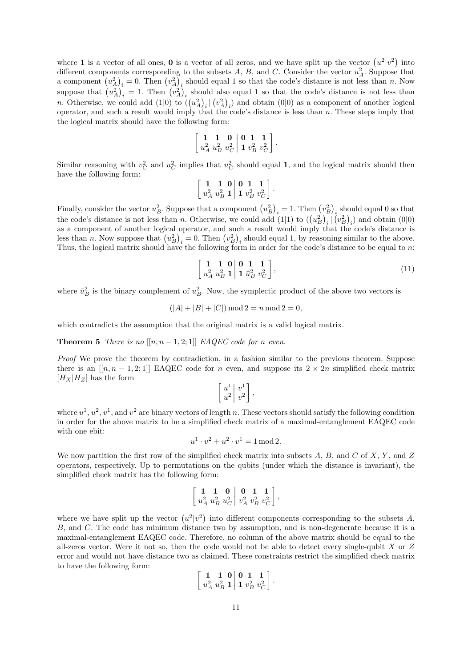where 1 is a vector of all ones, 0 is a vector of all zeros, and we have split up the vector  $(u^2|v^2)$  into different components corresponding to the subsets A, B, and C. Consider the vector  $u_A^2$ . Suppose that a component  $(u_A^2)_i = 0$ . Then  $(v_A^2)_i$  should equal 1 so that the code's distance is not less than n. Now suppose that  $(u_A^2)_i = 1$ . Then  $(v_A^2)_i$  should also equal 1 so that the code's distance is not less than n. Otherwise, we could add  $(1|0)$  to  $((u_A^2)_i|(v_A^2)_i)$  and obtain  $(0|0)$  as a component of another logical operator, and such a result would imply that the code's distance is less than  $n$ . These steps imply that the logical matrix should have the following form:

$$
\left[\begin{array}{cc|c} \mathbf{1} & \mathbf{1} & \mathbf{0} & \mathbf{0} & \mathbf{1} & \mathbf{1} \\ u_A^2 & u_B^2 & u_C^2 & \mathbf{1} & v_B^2 & v_C^2 \end{array}\right].
$$

Similar reasoning with  $v_C^2$  and  $u_C^2$  implies that  $u_C^2$  should equal 1, and the logical matrix should then have the following form:

$$
\left[\begin{array}{cc|c} \mathbf{1} & \mathbf{1} & \mathbf{0} & \mathbf{0} & \mathbf{1} & \mathbf{1} \\ u_A^2 & u_B^2 & \mathbf{1} & \mathbf{1} & v_B^2 & v_C^2 \end{array}\right].
$$

Finally, consider the vector  $u_B^2$ . Suppose that a component  $(u_B^2)_i = 1$ . Then  $(v_B^2)_i$  should equal 0 so that the code's distance is not less than n. Otherwise, we could add  $(1|1)$  to  $((u_B^2)_i | (v_B^2)_i)$  and obtain  $(0|0)$ as a component of another logical operator, and such a result would imply that the code's distance is less than n. Now suppose that  $(u_B^2)_i = 0$ . Then  $(v_B^2)_i$  should equal 1, by reasoning similar to the above. Thus, the logical matrix should have the following form in order for the code's distance to be equal to n:

<span id="page-11-1"></span>
$$
\left[\begin{array}{cc} \mathbf{1} & \mathbf{1} & \mathbf{0} \\ u_A^2 & u_B^2 & \mathbf{1} \end{array} \middle| \begin{array}{c} \mathbf{0} & \mathbf{1} & \mathbf{1} \\ \mathbf{1} & \bar{u}_B^2 & v_C^2 \end{array} \right],\tag{11}
$$

where  $\bar{u}_B^2$  is the binary complement of  $u_B^2$ . Now, the symplectic product of the above two vectors is

$$
(|A| + |B| + |C|) \mod 2 = n \mod 2 = 0,
$$

which contradicts the assumption that the original matrix is a valid logical matrix.

# <span id="page-11-0"></span>**Theorem 5** There is no  $[[n, n-1, 2; 1]]$  EAQEC code for n even.

Proof We prove the theorem by contradiction, in a fashion similar to the previous theorem. Suppose there is an  $[[n, n-1, 2, 1]]$  EAQEC code for n even, and suppose its  $2 \times 2n$  simplified check matrix  $[H_X|H_Z]$  has the form

$$
\left[\begin{array}{c}u^1\\u^2\end{array}\right]v^1\right],
$$

where  $u^1, u^2, v^1$ , and  $v^2$  are binary vectors of length n. These vectors should satisfy the following condition in order for the above matrix to be a simplified check matrix of a maximal-entanglement EAQEC code with one ebit:

$$
u^{1} \cdot v^{2} + u^{2} \cdot v^{1} = 1 \mod 2.
$$

We now partition the first row of the simplified check matrix into subsets  $A, B$ , and  $C$  of  $X, Y$ , and  $Z$ operators, respectively. Up to permutations on the qubits (under which the distance is invariant), the simplified check matrix has the following form:

$$
\left[\begin{array}{cc|c} \mathbf{1} & \mathbf{1} & \mathbf{0} & \mathbf{0} & \mathbf{1} & \mathbf{1} \\ u_A^2 & u_B^2 & u_C^2 & v_A^2 & v_B^2 & v_C^2 \end{array}\right]
$$

,

where we have split up the vector  $(u^2|v^2)$  into different components corresponding to the subsets A, B, and C. The code has minimum distance two by assumption, and is non-degenerate because it is a maximal-entanglement EAQEC code. Therefore, no column of the above matrix should be equal to the all-zeros vector. Were it not so, then the code would not be able to detect every single-qubit  $X$  or  $Z$ error and would not have distance two as claimed. These constraints restrict the simplified check matrix to have the following form:

$$
\left[\begin{array}{cc|c} \mathbf{1} & \mathbf{1} & \mathbf{0} & \mathbf{0} & \mathbf{1} & \mathbf{1} \\ u_A^2 & u_B^2 & \mathbf{1} & \mathbf{1} & v_B^2 & v_C^2 \end{array}\right].
$$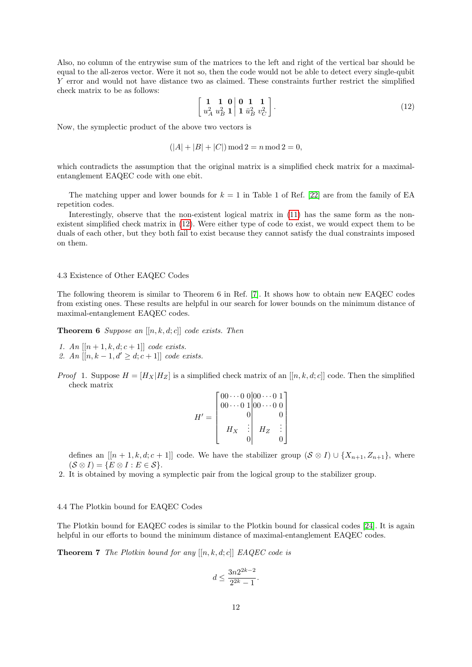Also, no column of the entrywise sum of the matrices to the left and right of the vertical bar should be equal to the all-zeros vector. Were it not so, then the code would not be able to detect every single-qubit Y error and would not have distance two as claimed. These constraints further restrict the simplified check matrix to be as follows:

<span id="page-12-0"></span>
$$
\left[\begin{array}{cc} \mathbf{1} & \mathbf{1} & \mathbf{0} \\ u_A^2 & u_B^2 & \mathbf{1} \end{array} \middle| \begin{array}{c} \mathbf{0} & \mathbf{1} & \mathbf{1} \\ \mathbf{1} & \bar{u}_B^2 & v_C^2 \end{array} \right].\tag{12}
$$

Now, the symplectic product of the above two vectors is

$$
(|A| + |B| + |C|) \mod 2 = n \mod 2 = 0,
$$

which contradicts the assumption that the original matrix is a simplified check matrix for a maximalentanglement EAQEC code with one ebit.

The matching upper and lower bounds for  $k = 1$  in Table 1 of Ref. [\[22\]](#page-24-18) are from the family of EA repetition codes.

Interestingly, observe that the non-existent logical matrix in [\(11\)](#page-11-1) has the same form as the nonexistent simplified check matrix in [\(12\)](#page-12-0). Were either type of code to exist, we would expect them to be duals of each other, but they both fail to exist because they cannot satisfy the dual constraints imposed on them.

## 4.3 Existence of Other EAQEC Codes

The following theorem is similar to Theorem 6 in Ref. [\[7\]](#page-23-2). It shows how to obtain new EAQEC codes from existing ones. These results are helpful in our search for lower bounds on the minimum distance of maximal-entanglement EAQEC codes.

**Theorem 6** Suppose an  $[[n, k, d; c]]$  code exists. Then

- 1. An  $[[n+1, k, d; c+1]]$  code exists.
- 2. An  $[[n, k 1, d' \geq d; c + 1]]$  code exists.
- *Proof* 1. Suppose  $H = [H_X|H_Z]$  is a simplified check matrix of an  $[[n, k, d; c]]$  code. Then the simplified check matrix

$$
H' = \begin{bmatrix} 00 & 0 & 0 & 0 & 0 & 0 & 1 \\ 0 & 0 & 0 & 0 & 0 & 0 \\ 0 & 0 & 0 & 0 & 0 \\ 0 & 0 & 0 & 0 & 0 \\ 0 & 0 & 0 & 0 & 0 \end{bmatrix}
$$

defines an  $[[n + 1, k, d; c + 1]]$  code. We have the stabilizer group  $(S \otimes I) \cup \{X_{n+1}, Z_{n+1}\}\$ , where  $(S \otimes I) = \{E \otimes I : E \in S\}.$ 

2. It is obtained by moving a symplectic pair from the logical group to the stabilizer group.

## 4.4 The Plotkin bound for EAQEC Codes

The Plotkin bound for EAQEC codes is similar to the Plotkin bound for classical codes [\[24\]](#page-24-19). It is again helpful in our efforts to bound the minimum distance of maximal-entanglement EAQEC codes.

**Theorem 7** The Plotkin bound for any  $[[n, k, d; c]]$  EAQEC code is

$$
d \leq \frac{3n2^{2k-2}}{2^{2k}-1}.
$$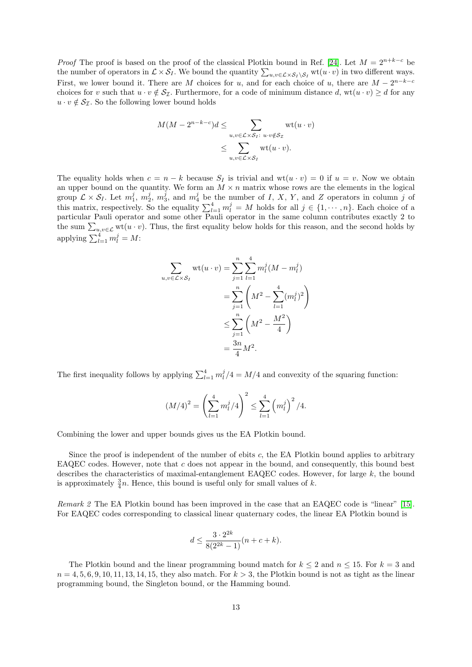*Proof* The proof is based on the proof of the classical Plotkin bound in Ref. [\[24\]](#page-24-19). Let  $M = 2^{n+k-c}$  be the number of operators in  $\mathcal{L} \times \mathcal{S}_I$ . We bound the quantity  $\sum_{u,v \in \mathcal{L} \times \mathcal{S}_I \setminus \mathcal{S}_I} \text{wt}(u \cdot v)$  in two different ways. First, we lower bound it. There are M choices for u, and for each choice of u, there are  $M - 2^{n-k-c}$ choices for v such that  $u \cdot v \notin S_{\mathcal{I}}$ . Furthermore, for a code of minimum distance d, wt $(u \cdot v) \geq d$  for any  $u \cdot v \notin \mathcal{S}_{\mathcal{I}}$ . So the following lower bound holds

$$
M(M - 2^{n-k-c})d \leq \sum_{\substack{u,v \in \mathcal{L} \times \mathcal{S}_I:\ u \cdot v \notin \mathcal{S}_{\mathcal{I}} \\ \leq \sum_{u,v \in \mathcal{L} \times \mathcal{S}_I} \text{wt}(u \cdot v).}} \text{wt}(u \cdot v)
$$

The equality holds when  $c = n - k$  because  $S_I$  is trivial and  $wt(u \cdot v) = 0$  if  $u = v$ . Now we obtain an upper bound on the quantity. We form an  $M \times n$  matrix whose rows are the elements in the logical group  $\mathcal{L} \times \mathcal{S}_I$ . Let  $m_1^j$ ,  $m_2^j$ ,  $m_3^j$ , and  $m_4^j$  be the number of I, X, Y, and Z operators in column j of this matrix, respectively. So the equality  $\sum_{l=1}^{4} m_l^j = M$  holds for all  $j \in \{1, \dots, n\}$ . Each choice of a particular Pauli operator and some other Pauli operator in the same column contributes exactly 2 to the sum  $\sum_{u,v\in\mathcal{L}} \text{wt}(u\cdot v)$ . Thus, the first equality below holds for this reason, and the second holds by applying  $\sum_{l=1}^{4} m_l^j = M$ :

$$
\sum_{u,v \in \mathcal{L} \times \mathcal{S}_I} \text{wt}(u \cdot v) = \sum_{j=1}^n \sum_{l=1}^4 m_l^j (M - m_l^j)
$$
  
= 
$$
\sum_{j=1}^n \left( M^2 - \sum_{l=1}^4 (m_l^j)^2 \right)
$$
  

$$
\leq \sum_{j=1}^n \left( M^2 - \frac{M^2}{4} \right)
$$
  
= 
$$
\frac{3n}{4} M^2.
$$

The first inequality follows by applying  $\sum_{l=1}^{4} m_l^j/4 = M/4$  and convexity of the squaring function:

$$
(M/4)^2 = \left(\sum_{l=1}^4 m_l^j/4\right)^2 \le \sum_{l=1}^4 \left(m_l^j\right)^2/4.
$$

Combining the lower and upper bounds gives us the EA Plotkin bound.

Since the proof is independent of the number of ebits  $c$ , the EA Plotkin bound applies to arbitrary EAQEC codes. However, note that  $c$  does not appear in the bound, and consequently, this bound best describes the characteristics of maximal-entanglement EAQEC codes. However, for large  $k$ , the bound is approximately  $\frac{3}{4}n$ . Hence, this bound is useful only for small values of k.

Remark 2 The EA Plotkin bound has been improved in the case that an EAQEC code is "linear" [\[15\]](#page-24-27). For EAQEC codes corresponding to classical linear quaternary codes, the linear EA Plotkin bound is

$$
d \le \frac{3 \cdot 2^{2k}}{8(2^{2k} - 1)}(n + c + k).
$$

The Plotkin bound and the linear programming bound match for  $k \leq 2$  and  $n \leq 15$ . For  $k = 3$  and  $n = 4, 5, 6, 9, 10, 11, 13, 14, 15$ , they also match. For  $k > 3$ , the Plotkin bound is not as tight as the linear programming bound, the Singleton bound, or the Hamming bound.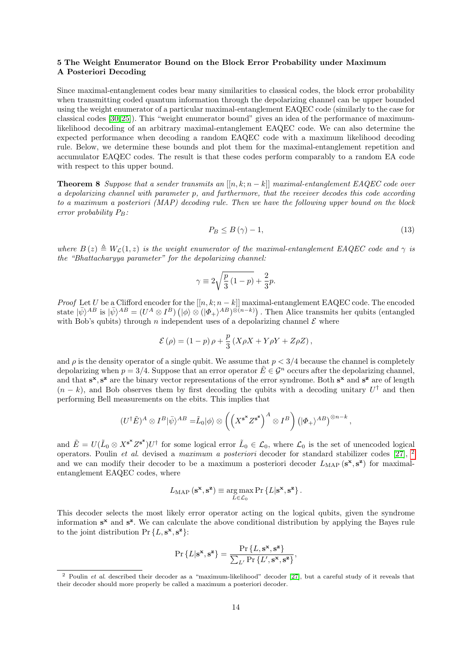# <span id="page-14-0"></span>5 The Weight Enumerator Bound on the Block Error Probability under Maximum A Posteriori Decoding

Since maximal-entanglement codes bear many similarities to classical codes, the block error probability when transmitting coded quantum information through the depolarizing channel can be upper bounded using the weight enumerator of a particular maximal-entanglement EAQEC code (similarly to the case for classical codes [\[30,](#page-24-20) [25\]](#page-24-21)). This "weight enumerator bound" gives an idea of the performance of maximumlikelihood decoding of an arbitrary maximal-entanglement EAQEC code. We can also determine the expected performance when decoding a random EAQEC code with a maximum likelihood decoding rule. Below, we determine these bounds and plot them for the maximal-entanglement repetition and accumulator EAQEC codes. The result is that these codes perform comparably to a random EA code with respect to this upper bound.

<span id="page-14-2"></span>**Theorem 8** Suppose that a sender transmits an  $[[n, k; n - k]]$  maximal-entanglement EAQEC code over a depolarizing channel with parameter p, and furthermore, that the receiver decodes this code according to a maximum a posteriori (MAP) decoding rule. Then we have the following upper bound on the block error probability  $P_B$ :

<span id="page-14-3"></span>
$$
P_B \leq B\left(\gamma\right) - 1,\tag{13}
$$

where  $B(z) \triangleq W_c(1, z)$  is the weight enumerator of the maximal-entanglement EAQEC code and  $\gamma$  is the "Bhattacharyya parameter" for the depolarizing channel:

$$
\gamma \equiv 2\sqrt{\frac{p}{3}(1-p)} + \frac{2}{3}p.
$$

Proof Let U be a Clifford encoder for the  $[[n, k; n - k]]$  maximal-entanglement EAQEC code. The encoded state  $|\bar{\psi}\rangle^{AB}$  is  $|\bar{\psi}\rangle^{AB} = (U^A \otimes I^B) (\ket{\phi} \otimes (\ket{\varPhi_+}^{AB})^{\otimes (n-k)})$ . Then Alice transmits her qubits (entangled with Bob's qubits) through n independent uses of a depolarizing channel  $\mathcal E$  where

$$
\mathcal{E}\left(\rho\right)=\left(1-p\right)\rho+\frac{p}{3}\left(X\rho X+Y\rho Y+Z\rho Z\right),
$$

and  $\rho$  is the density operator of a single qubit. We assume that  $p < 3/4$  because the channel is completely depolarizing when  $p = 3/4$ . Suppose that an error operator  $E \in \mathcal{G}^n$  occurs after the depolarizing channel, and that  $s^x$ ,  $s^z$  are the binary vector representations of the error syndrome. Both  $s^x$  and  $s^z$  are of length  $(n - k)$ , and Bob observes them by first decoding the qubits with a decoding unitary  $U^{\dagger}$  and then performing Bell measurements on the ebits. This implies that

$$
(U^{\dagger} \tilde{E})^A \otimes I^B |\bar{\psi}\rangle^{AB} = \tilde{L}_0 |\phi\rangle \otimes \left( \left( X^{s^{\mathbf{x}}} Z^{s^{\mathbf{z}}} \right)^A \otimes I^B \right) \left( |\Phi_+\rangle^{AB} \right)^{\otimes n-k},
$$

and  $\tilde{E} = U(\tilde{L}_0 \otimes X^{s^*} Z^{s^*}) U^{\dagger}$  for some logical error  $\tilde{L}_0 \in \mathcal{L}_0$ , where  $\mathcal{L}_0$  is the set of unencoded logical operators. Poulin et al. devised a maximum a posteriori decoder for standard stabilizer codes [\[27\]](#page-24-28), [2](#page-14-1) and we can modify their decoder to be a maximum a posteriori decoder  $L_{\text{MAP}}(s^x, s^z)$  for maximalentanglement EAQEC codes, where

$$
L_{\text{MAP}}\left(\mathbf{s}^{\mathbf{x}}, \mathbf{s}^{\mathbf{z}}\right) \equiv \underset{L \in \mathcal{L}_0}{\arg \max} \Pr \left\{L | \mathbf{s}^{\mathbf{x}}, \mathbf{s}^{\mathbf{z}}\right\}.
$$

This decoder selects the most likely error operator acting on the logical qubits, given the syndrome information  $s^x$  and  $s^z$ . We can calculate the above conditional distribution by applying the Bayes rule to the joint distribution  $Pr {L, \mathbf{s}^{\mathbf{x}}, \mathbf{s}^{\mathbf{z}}}.$ 

$$
\Pr\left\{L|\mathbf{s}^{\mathbf{x}},\mathbf{s}^{\mathbf{z}}\right\} = \frac{\Pr\left\{L,\mathbf{s}^{\mathbf{x}},\mathbf{s}^{\mathbf{z}}\right\}}{\sum_{L'}\Pr\left\{L',\mathbf{s}^{\mathbf{x}},\mathbf{s}^{\mathbf{z}}\right\}},
$$

<span id="page-14-1"></span><sup>&</sup>lt;sup>2</sup> Poulin *et al.* described their decoder as a "maximum-likelihood" decoder [\[27\]](#page-24-28), but a careful study of it reveals that their decoder should more properly be called a maximum a posteriori decoder.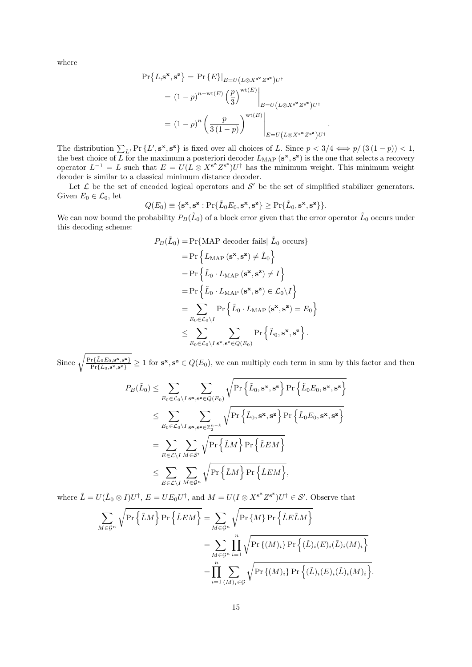where

$$
\Pr\{L, \mathbf{s}^{\mathbf{x}}, \mathbf{s}^{\mathbf{z}}\} = \Pr\{E\}|_{E=U(L \otimes X^{\mathbf{s}^{\mathbf{x}}} Z^{\mathbf{s}^{\mathbf{z}}})U^{\dagger}
$$
\n
$$
= (1-p)^{n-\text{wt}(E)} \left(\frac{p}{3}\right)^{\text{wt}(E)}\Big|_{E=U(L \otimes X^{\mathbf{s}^{\mathbf{x}}} Z^{\mathbf{s}^{\mathbf{z}}})U^{\dagger}
$$
\n
$$
= (1-p)^{n} \left(\frac{p}{3(1-p)}\right)^{\text{wt}(E)}\Big|_{E=U(L \otimes X^{\mathbf{s}^{\mathbf{x}}} Z^{\mathbf{s}^{\mathbf{z}}})U^{\dagger}
$$

The distribution  $\sum_{L'} \Pr \{L', \mathbf{s}^{\mathbf{x}}, \mathbf{s}^{\mathbf{z}}\}$  is fixed over all choices of L. Since  $p < 3/4 \iff p/(3(1-p)) < 1$ , the best choice of L for the maximum a posteriori decoder  $L_{\text{MAP}}(s^x, s^z)$  is the one that selects a recovery operator  $L^{-1} = L$  such that  $E = U(L \otimes X^{s^*} Z^{s^*}) U^{\dagger}$  has the minimum weight. This minimum weight decoder is similar to a classical minimum distance decoder.

.

.

Let  $\mathcal L$  be the set of encoded logical operators and  $\mathcal S'$  be the set of simplified stabilizer generators. Given  $E_0 \in \mathcal{L}_0$ , let

$$
Q(E_0) \equiv \{ \mathbf{s}^{\mathbf{x}}, \mathbf{s}^{\mathbf{z}} : \Pr \{ \tilde{L}_0 E_0, \mathbf{s}^{\mathbf{x}}, \mathbf{s}^{\mathbf{z}} \} \geq \Pr \{ \tilde{L}_0, \mathbf{s}^{\mathbf{x}}, \mathbf{s}^{\mathbf{z}} \} \}.
$$

We can now bound the probability  $P_B(\tilde{L}_0)$  of a block error given that the error operator  $\tilde{L}_0$  occurs under this decoding scheme:

$$
P_B(\tilde{L}_0) = \Pr\{\text{MAP decoder fails} | \tilde{L}_0 \text{ occurs}\}
$$
  
= 
$$
\Pr\left\{L_{\text{MAP}}(\mathbf{s}^{\mathbf{x}}, \mathbf{s}^{\mathbf{z}}) \neq \tilde{L}_0\right\}
$$
  
= 
$$
\Pr\left\{\tilde{L}_0 \cdot L_{\text{MAP}}(\mathbf{s}^{\mathbf{x}}, \mathbf{s}^{\mathbf{z}}) \neq I\right\}
$$
  
= 
$$
\Pr\left\{\tilde{L}_0 \cdot L_{\text{MAP}}(\mathbf{s}^{\mathbf{x}}, \mathbf{s}^{\mathbf{z}}) \in \mathcal{L}_0 \setminus I\right\}
$$
  
= 
$$
\sum_{E_0 \in \mathcal{L}_0 \setminus I} \Pr\left\{\tilde{L}_0 \cdot L_{\text{MAP}}(\mathbf{s}^{\mathbf{x}}, \mathbf{s}^{\mathbf{z}}) = E_0\right\}
$$
  

$$
\leq \sum_{E_0 \in \mathcal{L}_0 \setminus I} \sum_{\mathbf{s}^{\mathbf{x}}, \mathbf{s}^{\mathbf{z}} \in Q(E_0)} \Pr\left\{\tilde{L}_0, \mathbf{s}^{\mathbf{x}}, \mathbf{s}^{\mathbf{z}}\right\}.
$$

Since  $\sqrt{\frac{\Pr{\tilde{L}_0 E_0, \mathbf{s_x}, \mathbf{s_z}}}{\Pr{\tilde{L}_0 E_0, \mathbf{s_x}, \mathbf{s_z}}}}$  $\frac{\Pr\{L_0 E_0, \mathbf{s}^{\mathbf{x}}, \mathbf{s}^{\mathbf{z}}\}}{\Pr\{\bar{L}_0, \mathbf{s}^{\mathbf{x}}, \mathbf{s}^{\mathbf{z}}\}} \geq 1$  for  $\mathbf{s}^{\mathbf{x}}, \mathbf{s}^{\mathbf{z}} \in Q(E_0)$ , we can multiply each term in sum by this factor and then

$$
P_B(\tilde{L}_0) \leq \sum_{E_0 \in \mathcal{L}_0 \setminus I} \sum_{\mathbf{s}^{\mathbf{x}}, \mathbf{s}^{\mathbf{z}} \in Q(E_0)} \sqrt{\Pr\left\{\tilde{L}_0, \mathbf{s}^{\mathbf{x}}, \mathbf{s}^{\mathbf{z}}\right\} \Pr\left\{\tilde{L}_0 E_0, \mathbf{s}^{\mathbf{x}}, \mathbf{s}^{\mathbf{z}}\right\}} \n\leq \sum_{E_0 \in \mathcal{L}_0 \setminus I} \sum_{\mathbf{s}^{\mathbf{x}}, \mathbf{s}^{\mathbf{z}} \in \mathbb{Z}_2^{n-k}} \sqrt{\Pr\left\{\tilde{L}_0, \mathbf{s}^{\mathbf{x}}, \mathbf{s}^{\mathbf{z}}\right\} \Pr\left\{\tilde{L}_0 E_0, \mathbf{s}^{\mathbf{x}}, \mathbf{s}^{\mathbf{z}}\right\}} \n= \sum_{E \in \mathcal{L} \setminus I} \sum_{M \in \mathcal{S}'} \sqrt{\Pr\left\{\tilde{L}M\right\} \Pr\left\{\tilde{L}EM\right\}} \n\leq \sum_{E \in \mathcal{L} \setminus I} \sum_{M \in \mathcal{G}^n} \sqrt{\Pr\left\{\tilde{L}M\right\} \Pr\left\{\tilde{L}EM\right\}},
$$

where  $\tilde{L} = U(\tilde{L}_0 \otimes I)U^{\dagger}$ ,  $E = UE_0U^{\dagger}$ , and  $M = U(I \otimes X^{s^*}Z^{s^*})U^{\dagger} \in S'$ . Observe that

$$
\sum_{M \in \mathcal{G}^n} \sqrt{\Pr\left\{\tilde{L}M\right\} \Pr\left\{\tilde{L}EM\right\}} = \sum_{M \in \mathcal{G}^n} \sqrt{\Pr\left\{M\right\} \Pr\left\{\tilde{L}E\tilde{L}M\right\}} \\
= \sum_{M \in \mathcal{G}^n} \prod_{i=1}^n \sqrt{\Pr\left\{(M)_i\right\} \Pr\left\{(\tilde{L})_i(E)_i(\tilde{L})_i(M)_i\right\}} \\
= \prod_{i=1}^n \sum_{(M)_i \in \mathcal{G}} \sqrt{\Pr\left\{(M)_i\right\} \Pr\left\{(\tilde{L})_i(E)_i(\tilde{L})_i(M)_i\right\}}
$$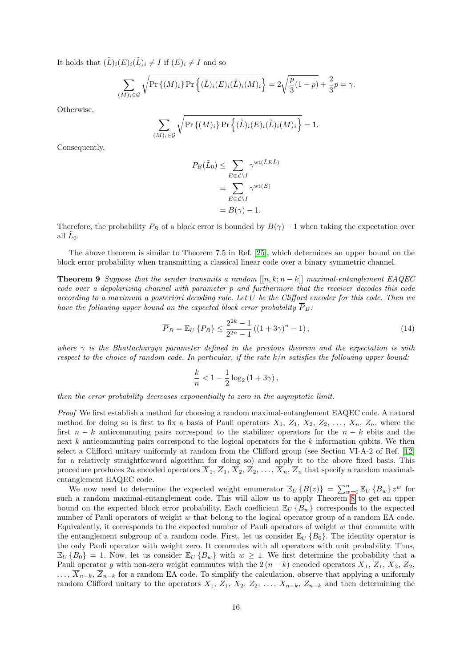It holds that  $(\tilde{L})_i(E)_i(\tilde{L})_i \neq I$  if  $(E)_i \neq I$  and so

$$
\sum_{(M)_i \in \mathcal{G}} \sqrt{\Pr\{(M)_i\} \Pr\left\{ (\tilde{L})_i (E)_i (\tilde{L})_i (M)_i \right\}} = 2\sqrt{\frac{p}{3}(1-p)} + \frac{2}{3}p = \gamma.
$$

Otherwise,

$$
\sum_{(M)_i \in \mathcal{G}} \sqrt{\Pr\{(M)_i\} \Pr\left\{ (\tilde{L})_i (E)_i (\tilde{L})_i (M)_i \right\}} = 1.
$$

Consequently,

$$
P_B(\tilde{L}_0) \le \sum_{E \in \mathcal{L} \setminus I} \gamma^{\text{wt}(\tilde{L}E\tilde{L})}
$$
  
= 
$$
\sum_{E \in \mathcal{L} \setminus I} \gamma^{\text{wt}(E)}
$$
  
= 
$$
B(\gamma) - 1.
$$

Therefore, the probability  $P_B$  of a block error is bounded by  $B(\gamma) - 1$  when taking the expectation over all  $\tilde{L}_0$ .

The above theorem is similar to Theorem 7.5 in Ref. [\[25\]](#page-24-21), which determines an upper bound on the block error probability when transmitting a classical linear code over a binary symmetric channel.

<span id="page-16-1"></span>**Theorem 9** Suppose that the sender transmits a random  $[[n, k; n - k]]$  maximal-entanglement EAQEC code over a depolarizing channel with parameter p and furthermore that the receiver decodes this code according to a maximum a posteriori decoding rule. Let U be the Clifford encoder for this code. Then we have the following upper bound on the expected block error probability  $\overline{P}_B$ :

<span id="page-16-0"></span>
$$
\overline{P}_B = \mathbb{E}_U \{ P_B \} \le \frac{2^{2k} - 1}{2^{2n} - 1} ((1 + 3\gamma)^n - 1), \tag{14}
$$

where  $\gamma$  is the Bhattacharyya parameter defined in the previous theorem and the expectation is with respect to the choice of random code. In particular, if the rate  $k/n$  satisfies the following upper bound:

$$
\frac{k}{n} < 1 - \frac{1}{2} \log_2 \left( 1 + 3\gamma \right),
$$

then the error probability decreases exponentially to zero in the asymptotic limit.

Proof We first establish a method for choosing a random maximal-entanglement EAQEC code. A natural method for doing so is first to fix a basis of Pauli operators  $X_1$ ,  $Z_1$ ,  $X_2$ ,  $Z_2$ , ...,  $X_n$ ,  $Z_n$ , where the first  $n - k$  anticommuting pairs correspond to the stabilizer operators for the  $n - k$  ebits and the next k anticommuting pairs correspond to the logical operators for the k information qubits. We then select a Clifford unitary uniformly at random from the Clifford group (see Section VI-A-2 of Ref. [\[12\]](#page-23-6) for a relatively straightforward algorithm for doing so) and apply it to the above fixed basis. This procedure produces  $2n$  encoded operators  $\overline{X}_1$ ,  $\overline{Z}_1$ ,  $\overline{X}_2$ ,  $\overline{Z}_2$ , ...,  $\overline{X}_n$ ,  $\overline{Z}_n$  that specify a random maximalentanglement EAQEC code.

We now need to determine the expected weight enumerator  $\mathbb{E}_U\{B(z)\} = \sum_{w=0}^n \mathbb{E}_U\{B_w\} z^w$  for such a random maximal-entanglement code. This will allow us to apply Theorem [8](#page-14-2) to get an upper bound on the expected block error probability. Each coefficient  $\mathbb{E}_U \{B_w\}$  corresponds to the expected number of Pauli operators of weight w that belong to the logical operator group of a random EA code. Equivalently, it corresponds to the expected number of Pauli operators of weight  $w$  that commute with the entanglement subgroup of a random code. First, let us consider  $\mathbb{E}_U \{B_0\}$ . The identity operator is the only Pauli operator with weight zero. It commutes with all operators with unit probability. Thus,  $\mathbb{E}_U\{B_0\} = 1$ . Now, let us consider  $\mathbb{E}_U\{B_w\}$  with  $w \geq 1$ . We first determine the probability that a Pauli operator g with non-zero weight commutes with the 2  $(n - k)$  encoded operators  $\overline{X}_1$ ,  $\overline{Z}_1$ ,  $\overline{X}_2$ ,  $\overline{Z}_2$ ,  $\ldots, \overline{X}_{n-k}, \overline{Z}_{n-k}$  for a random EA code. To simplify the calculation, observe that applying a uniformly random Clifford unitary to the operators  $X_1, Z_1, X_2, Z_2, \ldots, X_{n-k}, Z_{n-k}$  and then determining the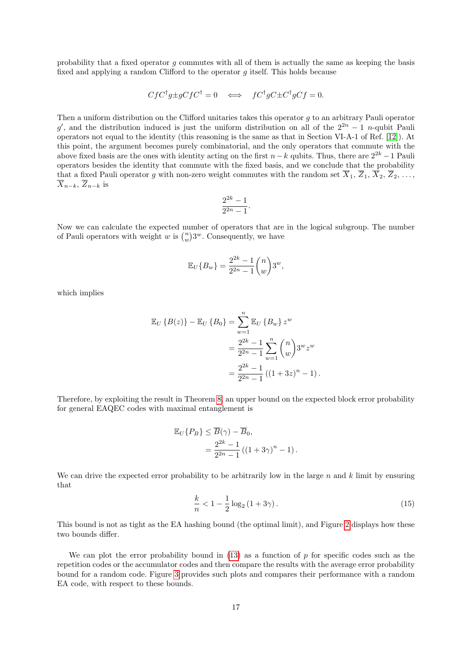probability that a fixed operator g commutes with all of them is actually the same as keeping the basis fixed and applying a random Clifford to the operator  $q$  itself. This holds because

$$
C f C^{\dagger} g \pm g C f C^{\dagger} = 0 \iff f C^{\dagger} g C \pm C^{\dagger} g C f = 0.
$$

Then a uniform distribution on the Clifford unitaries takes this operator g to an arbitrary Pauli operator g', and the distribution induced is just the uniform distribution on all of the  $2^{2n} - 1$  n-qubit Pauli operators not equal to the identity (this reasoning is the same as that in Section VI-A-1 of Ref. [\[12\]](#page-23-6)). At this point, the argument becomes purely combinatorial, and the only operators that commute with the above fixed basis are the ones with identity acting on the first  $n-k$  qubits. Thus, there are  $2^{2k} - 1$  Pauli operators besides the identity that commute with the fixed basis, and we conclude that the probability that a fixed Pauli operator g with non-zero weight commutes with the random set  $\overline{X}_1, \overline{Z}_1, \overline{X}_2, \overline{Z}_2, \ldots$ ,  $\overline{X}_{n-k}, \overline{Z}_{n-k}$  is

$$
\frac{2^{2k}-1}{2^{2n}-1}.
$$

Now we can calculate the expected number of operators that are in the logical subgroup. The number of Pauli operators with weight w is  $\binom{n}{w}3^w$ . Consequently, we have

$$
\mathbb{E}_U\{B_w\} = \frac{2^{2k} - 1}{2^{2n} - 1} \binom{n}{w} 3^w,
$$

which implies

$$
\mathbb{E}_U \{B(z)\} - \mathbb{E}_U \{B_0\} = \sum_{w=1}^n \mathbb{E}_U \{B_w\} z^w
$$
  
= 
$$
\frac{2^{2k} - 1}{2^{2n} - 1} \sum_{w=1}^n {n \choose w} 3^w z^w
$$
  
= 
$$
\frac{2^{2k} - 1}{2^{2n} - 1} ((1 + 3z)^n - 1).
$$

Therefore, by exploiting the result in Theorem [8,](#page-14-2) an upper bound on the expected block error probability for general EAQEC codes with maximal entanglement is

$$
\mathbb{E}_U\{P_B\} \le \overline{B}(\gamma) - \overline{B}_0,
$$
  
= 
$$
\frac{2^{2k} - 1}{2^{2n} - 1} ((1 + 3\gamma)^n - 1).
$$

We can drive the expected error probability to be arbitrarily low in the large  $n$  and  $k$  limit by ensuring that

<span id="page-17-0"></span>
$$
\frac{k}{n} < 1 - \frac{1}{2} \log_2 \left( 1 + 3\gamma \right). \tag{15}
$$

This bound is not as tight as the EA hashing bound (the optimal limit), and Figure [2](#page-18-1) displays how these two bounds differ.

We can plot the error probability bound in  $(13)$  as a function of p for specific codes such as the repetition codes or the accumulator codes and then compare the results with the average error probability bound for a random code. Figure [3](#page-19-0) provides such plots and compares their performance with a random EA code, with respect to these bounds.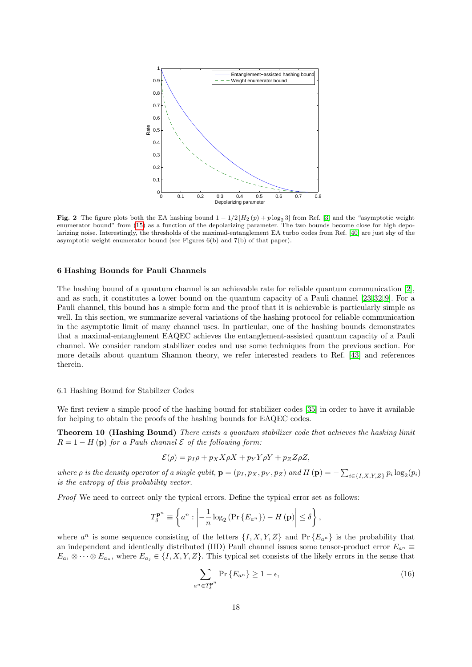

<span id="page-18-1"></span>Fig. 2 The figure plots both the EA hashing bound  $1 - 1/2 [H_2(p) + p \log_2 3]$  from Ref. [\[3\]](#page-23-7) and the "asymptotic weight enumerator bound" from [\(15\)](#page-17-0) as a function of the depolarizing parameter. The two bounds become close for high depolarizing noise. Interestingly, the thresholds of the maximal-entanglement EA turbo codes from Ref. [\[40\]](#page-24-12) are just shy of the asymptotic weight enumerator bound (see Figures 6(b) and 7(b) of that paper).

## <span id="page-18-0"></span>6 Hashing Bounds for Pauli Channels

The hashing bound of a quantum channel is an achievable rate for reliable quantum communication [\[2\]](#page-23-0), and as such, it constitutes a lower bound on the quantum capacity of a Pauli channel [\[23,](#page-24-29) [32,](#page-24-30) [9\]](#page-23-8). For a Pauli channel, this bound has a simple form and the proof that it is achievable is particularly simple as well. In this section, we summarize several variations of the hashing protocol for reliable communication in the asymptotic limit of many channel uses. In particular, one of the hashing bounds demonstrates that a maximal-entanglement EAQEC achieves the entanglement-assisted quantum capacity of a Pauli channel. We consider random stabilizer codes and use some techniques from the previous section. For more details about quantum Shannon theory, we refer interested readers to Ref. [\[43\]](#page-24-31) and references therein.

#### 6.1 Hashing Bound for Stabilizer Codes

We first review a simple proof of the hashing bound for stabilizer codes [\[35\]](#page-24-22) in order to have it available for helping to obtain the proofs of the hashing bounds for EAQEC codes.

Theorem 10 (Hashing Bound) There exists a quantum stabilizer code that achieves the hashing limit  $R = 1 - H(p)$  for a Pauli channel  $\mathcal E$  of the following form:

<span id="page-18-3"></span>
$$
\mathcal{E}(\rho) = p_I \rho + p_X X \rho X + p_Y Y \rho Y + p_Z Z \rho Z,
$$

where  $\rho$  is the density operator of a single qubit,  $\mathbf{p} = (p_1, p_X, p_Y, p_Z)$  and  $H(\mathbf{p}) = -\sum_{i \in \{I, X, Y, Z\}} p_i \log_2(p_i)$ is the entropy of this probability vector.

Proof We need to correct only the typical errors. Define the typical error set as follows:

$$
T_{\delta}^{\mathbf{p}^n} \equiv \left\{ a^n : \left| -\frac{1}{n} \log_2 \left( \Pr \left\{ E_{a^n} \right\} \right) - H \left( \mathbf{p} \right) \right| \le \delta \right\},\
$$

where  $a^n$  is some sequence consisting of the letters  $\{I, X, Y, Z\}$  and  $\Pr\{E_{a^n}\}\$ is the probability that an independent and identically distributed (IID) Pauli channel issues some tensor-product error  $E_{a^n}$  $E_{a_1} \otimes \cdots \otimes E_{a_n}$ , where  $E_{a_j} \in \{I, X, Y, Z\}$ . This typical set consists of the likely errors in the sense that

<span id="page-18-2"></span>
$$
\sum_{a^n \in T_{\delta}^{\mathbf{p}^n}} \Pr\left\{E_{a^n}\right\} \ge 1 - \epsilon,\tag{16}
$$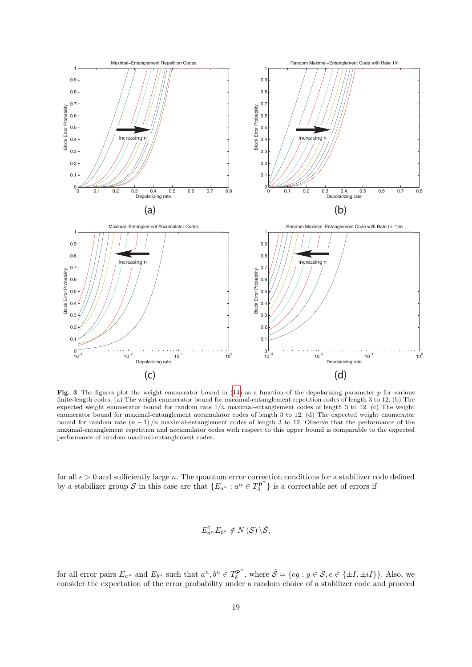

<span id="page-19-0"></span>**Fig. 3** The figures plot the weight enumerator bound in  $(14)$  as a function of the depolarizing parameter p for various finite-length codes. (a) The weight enumerator bound for maximal-entanglement repetition codes of length 3 to 12. (b) The expected weight enumerator bound for random rate  $1/n$  maximal-entanglement codes of length 3 to 12. (c) The weight enumerator bound for maximal-entanglement accumulator codes of length 3 to 12. (d) The expected weight enumerator bound for random rate  $(n-1)/n$  maximal-entanglement codes of length 3 to 12. Observe that the performance of the maximal-entanglement repetition and accumulator codes with respect to this upper bound is comparable to the expected performance of random maximal-entanglement codes.

for all  $\epsilon > 0$  and sufficiently large n. The quantum error correction conditions for a stabilizer code defined by a stabilizer group S in this case are that  $\{E_{a^n} : a^n \in T_{\delta}^{\mathbf{p}^n}\}$  $\{\overline{\mathcal{S}}^{\mathbf{p}}\}$  is a correctable set of errors if

$$
E_{a^n}^{\dagger}E_{b^n}\notin N(\mathcal{S})\backslash\tilde{\mathcal{S}},
$$

for all error pairs  $E_{a^n}$  and  $E_{b^n}$  such that  $a^n, b^n \in T_{\delta}^{\mathbf{p}^n}$  $\tilde{\mathcal{S}} = \{eg : g \in \mathcal{S}, e \in \{\pm I, \pm iI\}\}\.$  Also, we consider the expectation of the error probability under a random choice of a stabilizer code and proceed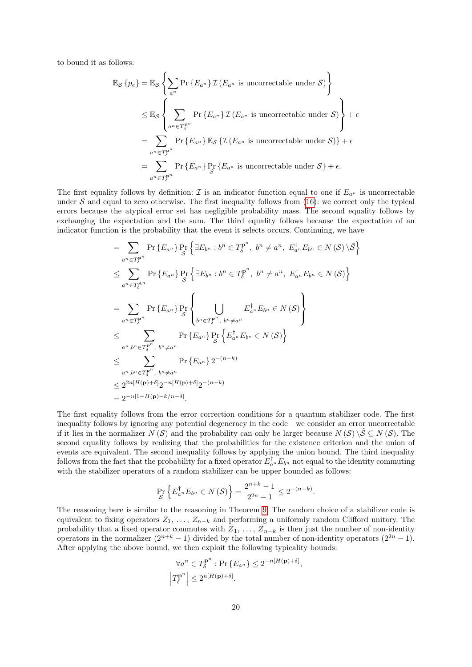to bound it as follows:

$$
\mathbb{E}_{\mathcal{S}}\left\{p_e\right\} = \mathbb{E}_{\mathcal{S}}\left\{\sum_{a^n} \Pr\left\{E_{a^n}\right\} \mathcal{I}\left(E_{a^n} \text{ is uncorrectable under } \mathcal{S}\right)\right\}
$$
  
\n
$$
\leq \mathbb{E}_{\mathcal{S}}\left\{\sum_{a^n \in T_{\delta}^{\mathbf{p}^n}} \Pr\left\{E_{a^n}\right\} \mathcal{I}\left(E_{a^n} \text{ is uncorrectable under } \mathcal{S}\right)\right\} + \epsilon
$$
  
\n
$$
= \sum_{a^n \in T_{\delta}^{\mathbf{p}^n}} \Pr\left\{E_{a^n}\right\} \mathbb{E}_{\mathcal{S}}\left\{\mathcal{I}\left(E_{a^n} \text{ is uncorrectable under } \mathcal{S}\right)\right\} + \epsilon
$$
  
\n
$$
= \sum_{a^n \in T_{\delta}^{\mathbf{p}^n}} \Pr\left\{E_{a^n}\right\} \Pr_{\mathcal{S}}\left\{E_{a^n} \text{ is uncorrectable under } \mathcal{S}\right\} + \epsilon.
$$

The first equality follows by definition:  $\mathcal I$  is an indicator function equal to one if  $E_{a^n}$  is uncorrectable under  $S$  and equal to zero otherwise. The first inequality follows from [\(16\)](#page-18-2): we correct only the typical errors because the atypical error set has negligible probability mass. The second equality follows by exchanging the expectation and the sum. The third equality follows because the expectation of an indicator function is the probability that the event it selects occurs. Continuing, we have

$$
= \sum_{a^n \in T_{\delta}^{\mathbf{p}n}} \Pr \left\{ E_{a^n} \right\} \Pr_{\mathcal{S}} \left\{ \exists E_{b^n} : b^n \in T_{\delta}^{\mathbf{p}n}, b^n \neq a^n, E_{a^n}^{\dagger} E_{b^n} \in N \left( \mathcal{S} \right) \setminus \tilde{\mathcal{S}} \right\}
$$
  
\n
$$
\leq \sum_{a^n \in T_{\delta}^{\mathbf{p}n}} \Pr \left\{ E_{a^n} \right\} \Pr_{\mathcal{S}} \left\{ \exists E_{b^n} : b^n \in T_{\delta}^{\mathbf{p}n}, b^n \neq a^n, E_{a^n}^{\dagger} E_{b^n} \in N \left( \mathcal{S} \right) \right\}
$$
  
\n
$$
= \sum_{a^n \in T_{\delta}^{\mathbf{p}n}} \Pr \left\{ E_{a^n} \right\} \Pr_{\mathcal{S}} \left\{ \bigcup_{b^n \in T_{\delta}^{\mathbf{p}n}, b^n \neq a^n} E_{a^n} E_{b^n} \in N \left( \mathcal{S} \right) \right\}
$$
  
\n
$$
\leq \sum_{a^n, b^n \in T_{\delta}^{\mathbf{p}n}, b^n \neq a^n} \Pr \left\{ E_{a^n} \right\} \Pr_{\mathcal{S}} \left\{ E_{a^n}^{\dagger} E_{b^n} \in N \left( \mathcal{S} \right) \right\}
$$
  
\n
$$
\leq \sum_{a^n, b^n \in T_{\delta}^{\mathbf{p}n}, b^n \neq a^n} \Pr \left\{ E_{a^n} \right\} 2^{-(n-k)}
$$
  
\n
$$
\leq 2^{2n[H(\mathbf{p}) + \delta]} 2^{-n[H(\mathbf{p}) + \delta]} 2^{-(n-k)}
$$
  
\n
$$
= 2^{-n[1-H(\mathbf{p}) - k/n - \delta]}.
$$

The first equality follows from the error correction conditions for a quantum stabilizer code. The first inequality follows by ignoring any potential degeneracy in the code—we consider an error uncorrectable if it lies in the normalizer  $N(S)$  and the probability can only be larger because  $N(S) \setminus S \subset N(S)$ . The second equality follows by realizing that the probabilities for the existence criterion and the union of events are equivalent. The second inequality follows by applying the union bound. The third inequality follows from the fact that the probability for a fixed operator  $E_{a_n}^{\dagger} E_{b_n}$  not equal to the identity commuting with the stabilizer operators of a random stabilizer can be upper bounded as follows:

$$
\Pr_{\mathcal{S}}\left\{E_{a^n}^{\dagger}E_{b^n} \in N\left(\mathcal{S}\right)\right\} = \frac{2^{n+k}-1}{2^{2n}-1} \leq 2^{-(n-k)}.
$$

The reasoning here is similar to the reasoning in Theorem [9.](#page-16-1) The random choice of a stabilizer code is equivalent to fixing operators  $Z_1, \ldots, Z_{n-k}$  and performing a uniformly random Clifford unitary. The probability that a fixed operator commutes with  $Z_1, \ldots, Z_{n-k}$  is then just the number of non-identity operators in the normalizer  $(2^{n+k}-1)$  divided by the total number of non-identity operators  $(2^{2n}-1)$ . After applying the above bound, we then exploit the following typicality bounds:

$$
\forall a^n \in T_{\delta}^{\mathbf{p}^n} : \Pr\left\{E_{a^n}\right\} \le 2^{-n[H(\mathbf{p})+\delta]},
$$
  

$$
\left|T_{\delta}^{\mathbf{p}^n}\right| \le 2^{n[H(\mathbf{p})+\delta]}.
$$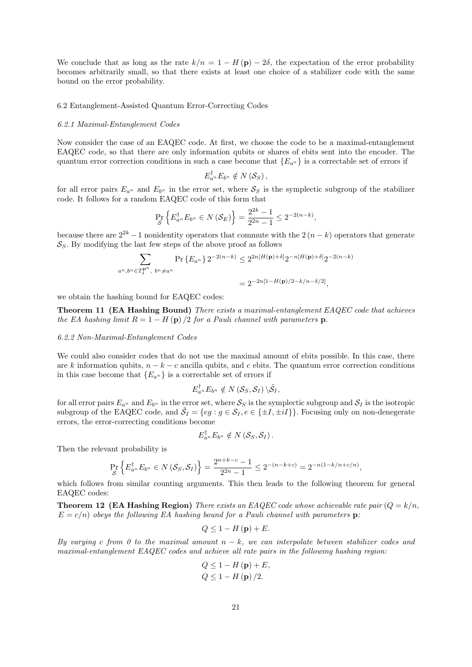We conclude that as long as the rate  $k/n = 1 - H(\mathbf{p}) - 2\delta$ , the expectation of the error probability becomes arbitrarily small, so that there exists at least one choice of a stabilizer code with the same bound on the error probability.

#### 6.2 Entanglement-Assisted Quantum Error-Correcting Codes

#### 6.2.1 Maximal-Entanglement Codes

Now consider the case of an EAQEC code. At first, we choose the code to be a maximal-entanglement EAQEC code, so that there are only information qubits or shares of ebits sent into the encoder. The quantum error correction conditions in such a case become that  ${E_{a^n}}$  is a correctable set of errors if

$$
E_{a^n}^{\dagger} E_{b^n} \notin N\left(S_S\right),\,
$$

for all error pairs  $E_{a^n}$  and  $E_{b^n}$  in the error set, where  $S_S$  is the symplectic subgroup of the stabilizer code. It follows for a random EAQEC code of this form that

$$
\Pr_{\mathcal{S}}\left\{E_{a^n}^{\dagger}E_{b^n} \in N\left(\mathcal{S}_E\right)\right\} = \frac{2^{2k} - 1}{2^{2n} - 1} \leq 2^{-2(n-k)},
$$

because there are  $2^{2k} - 1$  nonidentity operators that commute with the  $2(n - k)$  operators that generate  $S<sub>S</sub>$ . By modifying the last few steps of the above proof as follows

$$
\sum_{a^n, b^n \in T_{\delta}^{\mathbf{p}^n}, b^n \neq a^n} \Pr\left\{E_{a^n}\right\} 2^{-2(n-k)} \leq 2^{2n[H(\mathbf{p}) + \delta]} 2^{-n[H(\mathbf{p}) + \delta]} 2^{-2(n-k)}
$$
  
=  $2^{-2n[1 - H(\mathbf{p})/2 - k/n - \delta/2]}$ ,

we obtain the hashing bound for EAQEC codes:

Theorem 11 (EA Hashing Bound) There exists a maximal-entanglement EAQEC code that achieves the EA hashing limit  $R = 1 - H(p)/2$  for a Pauli channel with parameters p.

# 6.2.2 Non-Maximal-Entanglement Codes

We could also consider codes that do not use the maximal amount of ebits possible. In this case, there are k information qubits,  $n - k - c$  ancilla qubits, and c ebits. The quantum error correction conditions in this case become that  ${E_{a^n}}$  is a correctable set of errors if

$$
E_{a^n}^{\dagger}E_{b^n}\notin N\left(\mathcal{S}_{S},\mathcal{S}_{I}\right)\backslash\tilde{\mathcal{S}}_{I},
$$

for all error pairs  $E_{a^n}$  and  $E_{b^n}$  in the error set, where  $S_S$  is the symplectic subgroup and  $S_I$  is the isotropic subgroup of the EAQEC code, and  $\tilde{S}_I = \{eg : g \in S_I, e \in \{\pm I, \pm iI\}\}\.$  Focusing only on non-denegerate errors, the error-correcting conditions become

$$
E_{a^n}^{\dagger} E_{b^n} \notin N\left(S_S, \mathcal{S}_I\right).
$$

Then the relevant probability is

$$
\Pr_{\mathcal{S}}\left\{E_{a^n}^{\dagger}E_{b^n} \in N\left(\mathcal{S}_{S}, \mathcal{S}_{I}\right)\right\} = \frac{2^{n+k-c}-1}{2^{2n}-1} \leq 2^{-(n-k+c)} = 2^{-n(1-k/n+c/n)},
$$

which follows from similar counting arguments. This then leads to the following theorem for general EAQEC codes:

**Theorem 12 (EA Hashing Region)** There exists an EAQEC code whose achievable rate pair  $(Q = k/n)$ ,  $E = c/n$ ) obeys the following EA hashing bound for a Pauli channel with parameters p:

$$
Q \leq 1 - H\left(\mathbf{p}\right) + E.
$$

By varying c from 0 to the maximal amount  $n - k$ , we can interpolate between stabilizer codes and maximal-entanglement EAQEC codes and achieve all rate pairs in the following hashing region:

$$
Q \le 1 - H(\mathbf{p}) + E,
$$
  
 
$$
Q \le 1 - H(\mathbf{p}) / 2.
$$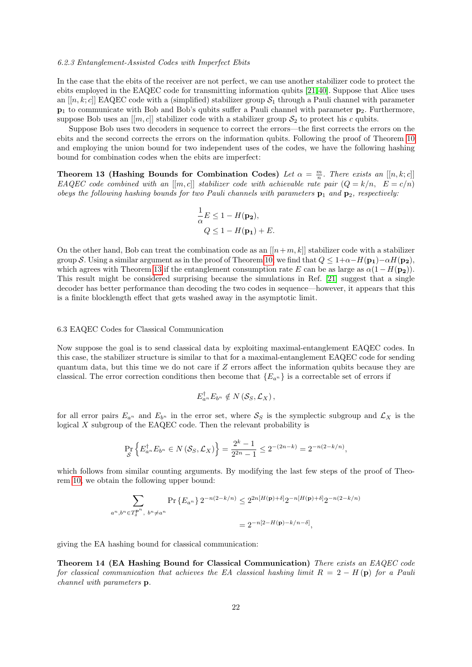#### 6.2.3 Entanglement-Assisted Codes with Imperfect Ebits

In the case that the ebits of the receiver are not perfect, we can use another stabilizer code to protect the ebits employed in the EAQEC code for transmitting information qubits [\[21,](#page-24-14) [40\]](#page-24-12). Suppose that Alice uses an  $[[n, k; c]]$  EAQEC code with a (simplified) stabilizer group  $S_1$  through a Pauli channel with parameter  $p_1$  to communicate with Bob and Bob's qubits suffer a Pauli channel with parameter  $p_2$ . Furthermore, suppose Bob uses an  $[[m, c]]$  stabilizer code with a stabilizer group  $S_2$  to protect his c qubits.

Suppose Bob uses two decoders in sequence to correct the errors—the first corrects the errors on the ebits and the second corrects the errors on the information qubits. Following the proof of Theorem [10](#page-18-3) and employing the union bound for two independent uses of the codes, we have the following hashing bound for combination codes when the ebits are imperfect:

**Theorem 13 (Hashing Bounds for Combination Codes)** Let  $\alpha = \frac{m}{n}$ . There exists an [[n, k; c]] EAQEC code combined with an  $[[m, c]]$  stabilizer code with achievable rate pair  $(Q = k/n, E = c/n)$ obeys the following hashing bounds for two Pauli channels with parameters  $\mathbf{p}_1$  and  $\mathbf{p}_2$ , respectively:

<span id="page-22-0"></span>
$$
\frac{1}{\alpha}E \le 1 - H(\mathbf{p_2}),
$$
  
 
$$
Q \le 1 - H(\mathbf{p_1}) + E.
$$

On the other hand, Bob can treat the combination code as an  $[[n+m, k]]$  stabilizer code with a stabilizer group S. Using a similar argument as in the proof of Theorem [10,](#page-18-3) we find that  $Q \leq 1+\alpha-H(\mathbf{p}_1)-\alpha H(\mathbf{p}_2)$ , which agrees with Theorem [13](#page-22-0) if the entanglement consumption rate E can be as large as  $\alpha(1 - H(\mathbf{p}_2)).$ This result might be considered surprising because the simulations in Ref. [\[21\]](#page-24-14) suggest that a single decoder has better performance than decoding the two codes in sequence—however, it appears that this is a finite blocklength effect that gets washed away in the asymptotic limit.

## 6.3 EAQEC Codes for Classical Communication

Now suppose the goal is to send classical data by exploiting maximal-entanglement EAQEC codes. In this case, the stabilizer structure is similar to that for a maximal-entanglement EAQEC code for sending quantum data, but this time we do not care if Z errors affect the information qubits because they are classical. The error correction conditions then become that  ${E_{a^n}}$  is a correctable set of errors if

$$
E_{a^n}^{\dagger} E_{b^n} \notin N\left(S_S, \mathcal{L}_X\right),
$$

for all error pairs  $E_{a^n}$  and  $E_{b^n}$  in the error set, where  $S_S$  is the symplectic subgroup and  $\mathcal{L}_X$  is the logical  $X$  subgroup of the EAQEC code. Then the relevant probability is

$$
\Pr_{\mathcal{S}}\left\{E_{a^n}^{\dagger}E_{b^n} \in N\left(\mathcal{S}_{S}, \mathcal{L}_X\right)\right\} = \frac{2^k - 1}{2^{2n} - 1} \leq 2^{-(2n - k)} = 2^{-n(2 - k/n)},
$$

which follows from similar counting arguments. By modifying the last few steps of the proof of Theorem [10,](#page-18-3) we obtain the following upper bound:

$$
\sum_{a^n, b^n \in T_{\delta}^{\mathbf{P}^n}, b^n \neq a^n} \Pr\left\{E_{a^n}\right\} 2^{-n(2-k/n)} \leq 2^{2n[H(\mathbf{p})+\delta]} 2^{-n[H(\mathbf{p})+\delta]} 2^{-n(2-k/n)}
$$
  
= 
$$
2^{-n[2-H(\mathbf{p})-k/n-\delta]},
$$

giving the EA hashing bound for classical communication:

Theorem 14 (EA Hashing Bound for Classical Communication) There exists an EAQEC code for classical communication that achieves the EA classical hashing limit  $R = 2 - H(p)$  for a Pauli channel with parameters p.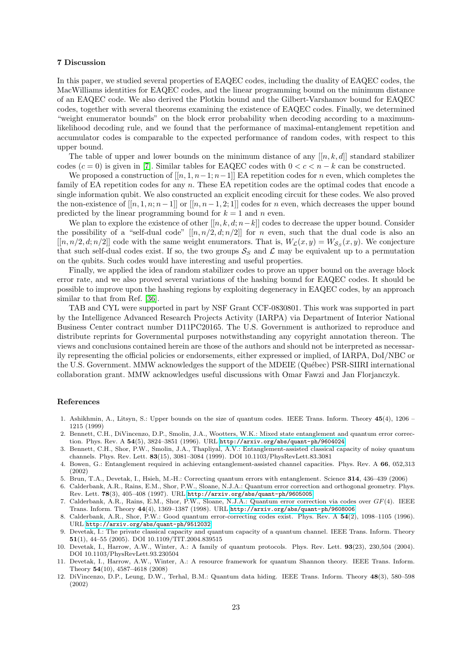# 7 Discussion

In this paper, we studied several properties of EAQEC codes, including the duality of EAQEC codes, the MacWilliams identities for EAQEC codes, and the linear programming bound on the minimum distance of an EAQEC code. We also derived the Plotkin bound and the Gilbert-Varshamov bound for EAQEC codes, together with several theorems examining the existence of EAQEC codes. Finally, we determined "weight enumerator bounds" on the block error probability when decoding according to a maximumlikelihood decoding rule, and we found that the performance of maximal-entanglement repetition and accumulator codes is comparable to the expected performance of random codes, with respect to this upper bound.

The table of upper and lower bounds on the minimum distance of any  $[[n, k, d]]$  standard stabilizer codes  $(c = 0)$  is given in [\[7\]](#page-23-2). Similar tables for EAQEC codes with  $0 < c < n - k$  can be constructed.

We proposed a construction of  $[[n, 1, n-1; n-1]]$  EA repetition codes for n even, which completes the family of EA repetition codes for any n. These EA repetition codes are the optimal codes that encode a single information qubit. We also constructed an explicit encoding circuit for these codes. We also proved the non-existence of  $[[n, 1, n; n-1]]$  or  $[[n, n-1, 2; 1]]$  codes for n even, which decreases the upper bound predicted by the linear programming bound for  $k = 1$  and n even.

We plan to explore the existence of other  $[[n, k, d; n-k]]$  codes to decrease the upper bound. Consider the possibility of a "self-dual code"  $[[n, n/2, d; n/2]]$  for n even, such that the dual code is also an  $[[n, n/2, d; n/2]]$  code with the same weight enumerators. That is,  $W_{\mathcal{L}}(x, y) = W_{\mathcal{S}_{S}}(x, y)$ . We conjecture that such self-dual codes exist. If so, the two groups  $S_S$  and  $\mathcal L$  may be equivalent up to a permutation on the qubits. Such codes would have interesting and useful properties.

Finally, we applied the idea of random stabilizer codes to prove an upper bound on the average block error rate, and we also proved several variations of the hashing bound for EAQEC codes. It should be possible to improve upon the hashing regions by exploiting degeneracy in EAQEC codes, by an approach similar to that from Ref. [\[36\]](#page-24-32).

TAB and CYL were supported in part by NSF Grant CCF-0830801. This work was supported in part by the Intelligence Advanced Research Projects Activity (IARPA) via Department of Interior National Business Center contract number D11PC20165. The U.S. Government is authorized to reproduce and distribute reprints for Governmental purposes notwithstanding any copyright annotation thereon. The views and conclusions contained herein are those of the authors and should not be interpreted as necessarily representing the official policies or endorsements, either expressed or implied, of IARPA, DoI/NBC or the U.S. Government. MMW acknowledges the support of the MDEIE (Québec) PSR-SIIRI international collaboration grant. MMW acknowledges useful discussions with Omar Fawzi and Jan Florjanczyk.

# References

- <span id="page-23-5"></span>1. Ashikhmin, A., Litsyn, S.: Upper bounds on the size of quantum codes. IEEE Trans. Inform. Theory 45(4), 1206 – 1215 (1999)
- <span id="page-23-0"></span>2. Bennett, C.H., DiVincenzo, D.P., Smolin, J.A., Wootters, W.K.: Mixed state entanglement and quantum error correction. Phys. Rev. A 54(5), 3824–3851 (1996). URL <http://arxiv.org/abs/quant-ph/9604024>
- <span id="page-23-7"></span>3. Bennett, C.H., Shor, P.W., Smolin, J.A., Thapliyal, A.V.: Entanglement-assisted classical capacity of noisy quantum channels. Phys. Rev. Lett. 83(15), 3081–3084 (1999). DOI 10.1103/PhysRevLett.83.3081
- 4. Bowen, G.: Entanglement required in achieving entanglement-assisted channel capacities. Phys. Rev. A 66, 052,313 (2002)
- <span id="page-23-4"></span>5. Brun, T.A., Devetak, I., Hsieh, M.-H.: Correcting quantum errors with entanglement. Science 314, 436–439 (2006)
- <span id="page-23-1"></span>6. Calderbank, A.R., Rains, E.M., Shor, P.W., Sloane, N.J.A.: Quantum error correction and orthogonal geometry. Phys. Rev. Lett. 78(3), 405–408 (1997). URL <http://arxiv.org/abs/quant-ph/9605005>
- <span id="page-23-2"></span>7. Calderbank, A.R., Rains, E.M., Shor, P.W., Sloane, N.J.A.: Quantum error correction via codes over GF(4). IEEE Trans. Inform. Theory 44(4), 1369–1387 (1998). URL <http://arxiv.org/abs/quant-ph/9608006>
- <span id="page-23-3"></span>8. Calderbank, A.R., Shor, P.W.: Good quantum error-correcting codes exist. Phys. Rev. A 54(2), 1098–1105 (1996). URL <http://arxiv.org/abs/quant-ph/9512032>
- <span id="page-23-8"></span>9. Devetak, I.: The private classical capacity and quantum capacity of a quantum channel. IEEE Trans. Inform. Theory 51(1), 44–55 (2005). DOI 10.1109/TIT.2004.839515
- 10. Devetak, I., Harrow, A.W., Winter, A.: A family of quantum protocols. Phys. Rev. Lett. 93(23), 230,504 (2004). DOI 10.1103/PhysRevLett.93.230504
- 11. Devetak, I., Harrow, A.W., Winter, A.: A resource framework for quantum Shannon theory. IEEE Trans. Inform. Theory 54(10), 4587–4618 (2008)
- <span id="page-23-6"></span>12. DiVincenzo, D.P., Leung, D.W., Terhal, B.M.: Quantum data hiding. IEEE Trans. Inform. Theory 48(3), 580–598 (2002)